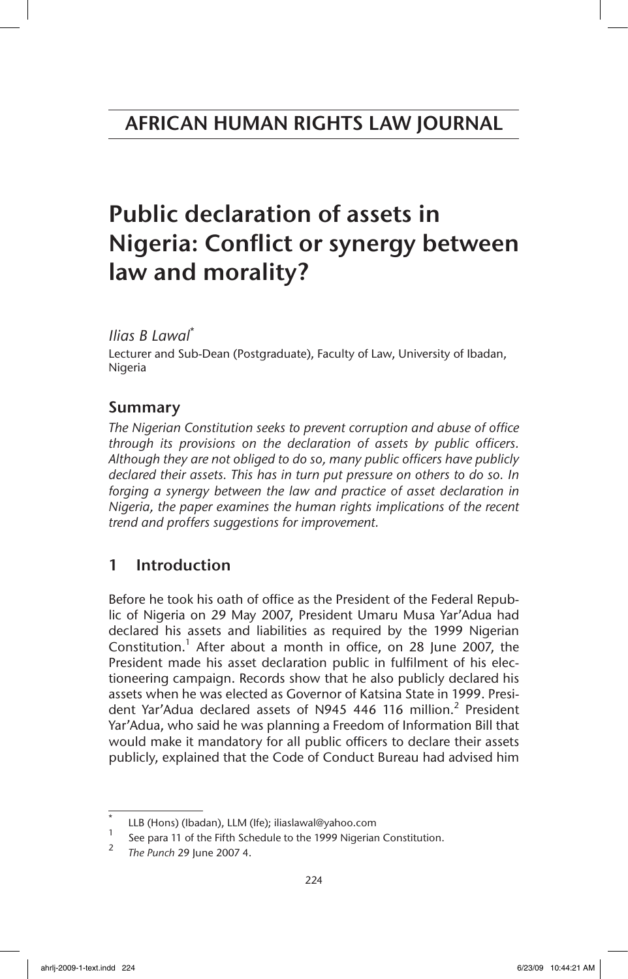# Public declaration of assets in Nigeria: Conflict or synergy between law and morality?

## *Ilias B Lawal*\*

Lecturer and Sub-Dean (Postgraduate), Faculty of Law, University of Ibadan, Nigeria

## Summary

*The Nigerian Constitution seeks to prevent corruption and abuse of office through its provisions on the declaration of assets by public officers. Although they are not obliged to do so, many public officers have publicly declared their assets. This has in turn put pressure on others to do so. In*  forging a synergy between the law and practice of asset declaration in *Nigeria, the paper examines the human rights implications of the recent trend and proffers suggestions for improvement.*

## 1 Introduction

Before he took his oath of office as the President of the Federal Republic of Nigeria on 29 May 2007, President Umaru Musa Yar'Adua had declared his assets and liabilities as required by the 1999 Nigerian Constitution. $1$  After about a month in office, on 28 June 2007, the President made his asset declaration public in fulfilment of his electioneering campaign. Records show that he also publicly declared his assets when he was elected as Governor of Katsina State in 1999. President Yar'Adua declared assets of N945 446 116 million.<sup>2</sup> President Yar'Adua, who said he was planning a Freedom of Information Bill that would make it mandatory for all public officers to declare their assets publicly, explained that the Code of Conduct Bureau had advised him

 $\int_{1}^{1}$  LLB (Hons) (Ibadan), LLM (Ife); iliaslawal@yahoo.com

See para 11 of the Fifth Schedule to the 1999 Nigerian Constitution.

<sup>2</sup> *The Punch* 29 June 2007 4.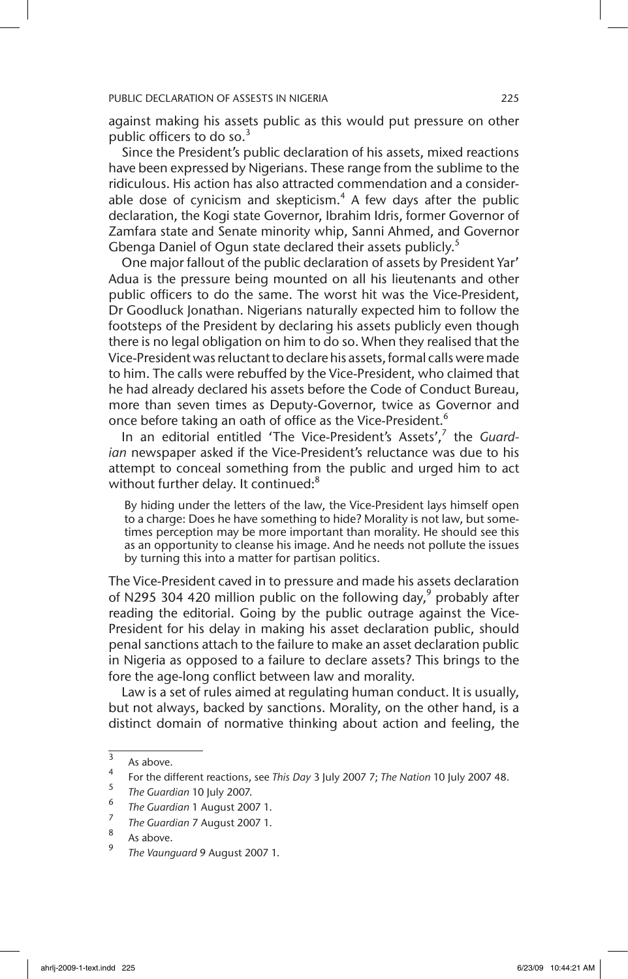against making his assets public as this would put pressure on other public officers to do so. $3$ 

Since the President's public declaration of his assets, mixed reactions have been expressed by Nigerians. These range from the sublime to the ridiculous. His action has also attracted commendation and a considerable dose of cynicism and skepticism. $4$  A few days after the public declaration, the Kogi state Governor, Ibrahim Idris, former Governor of Zamfara state and Senate minority whip, Sanni Ahmed, and Governor Gbenga Daniel of Ogun state declared their assets publicly.<sup>5</sup>

One major fallout of the public declaration of assets by President Yar' Adua is the pressure being mounted on all his lieutenants and other public officers to do the same. The worst hit was the Vice-President, Dr Goodluck Jonathan. Nigerians naturally expected him to follow the footsteps of the President by declaring his assets publicly even though there is no legal obligation on him to do so. When they realised that the Vice-President was reluctant to declare his assets, formal calls were made to him. The calls were rebuffed by the Vice-President, who claimed that he had already declared his assets before the Code of Conduct Bureau, more than seven times as Deputy-Governor, twice as Governor and once before taking an oath of office as the Vice-President.<sup>6</sup>

In an editorial entitled 'The Vice-President's Assets',<sup>7</sup> the Guard*ian* newspaper asked if the Vice-President's reluctance was due to his attempt to conceal something from the public and urged him to act without further delay. It continued:<sup>8</sup>

By hiding under the letters of the law, the Vice-President lays himself open to a charge: Does he have something to hide? Morality is not law, but sometimes perception may be more important than morality. He should see this as an opportunity to cleanse his image. And he needs not pollute the issues by turning this into a matter for partisan politics.

The Vice-President caved in to pressure and made his assets declaration of N295 304 420 million public on the following day,  $9$  probably after reading the editorial. Going by the public outrage against the Vice-President for his delay in making his asset declaration public, should penal sanctions attach to the failure to make an asset declaration public in Nigeria as opposed to a failure to declare assets? This brings to the fore the age-long conflict between law and morality.

Law is a set of rules aimed at regulating human conduct. It is usually, but not always, backed by sanctions. Morality, on the other hand, is a distinct domain of normative thinking about action and feeling, the

 $\frac{3}{4}$  As above.

<sup>4</sup> For the different reactions, see *This Day* 3 July 2007 7; *The Nation* 10 July 2007 48.

<sup>5</sup> *The Guardian* 10 July 2007.

<sup>6</sup> *The Guardian* 1 August 2007 1.

<sup>7</sup> *The Guardian* 7 August 2007 1.

 $\int_{9}^{\infty}$  As above.

<sup>9</sup> *The Vaunguard* 9 August 2007 1.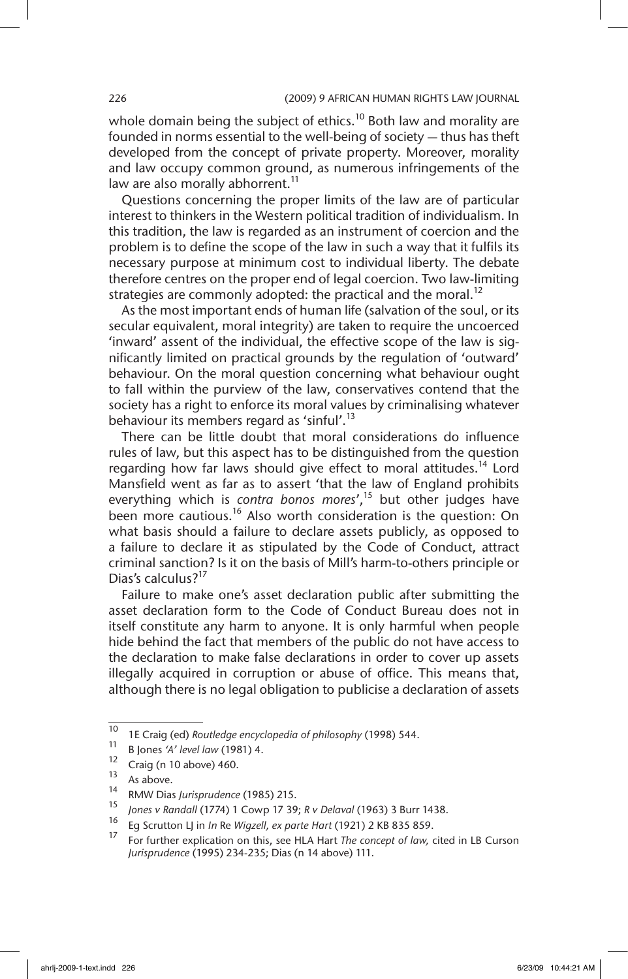whole domain being the subject of ethics.<sup>10</sup> Both law and morality are founded in norms essential to the well-being of society — thus has theft developed from the concept of private property. Moreover, morality and law occupy common ground, as numerous infringements of the law are also morally abhorrent.<sup>11</sup>

Questions concerning the proper limits of the law are of particular interest to thinkers in the Western political tradition of individualism. In this tradition, the law is regarded as an instrument of coercion and the problem is to define the scope of the law in such a way that it fulfils its necessary purpose at minimum cost to individual liberty. The debate therefore centres on the proper end of legal coercion. Two law-limiting strategies are commonly adopted: the practical and the moral.<sup>12</sup>

As the most important ends of human life (salvation of the soul, or its secular equivalent, moral integrity) are taken to require the uncoerced 'inward' assent of the individual, the effective scope of the law is significantly limited on practical grounds by the regulation of 'outward' behaviour. On the moral question concerning what behaviour ought to fall within the purview of the law, conservatives contend that the society has a right to enforce its moral values by criminalising whatever behaviour its members regard as 'sinful'.<sup>13</sup>

There can be little doubt that moral considerations do influence rules of law, but this aspect has to be distinguished from the question regarding how far laws should give effect to moral attitudes.<sup>14</sup> Lord Mansfield went as far as to assert 'that the law of England prohibits everything which is *contra bonos mores'*,<sup>15</sup> but other judges have been more cautious.<sup>16</sup> Also worth consideration is the question: On what basis should a failure to declare assets publicly, as opposed to a failure to declare it as stipulated by the Code of Conduct, attract criminal sanction? Is it on the basis of Mill's harm-to-others principle or Dias's calculus?<sup>17</sup>

Failure to make one's asset declaration public after submitting the asset declaration form to the Code of Conduct Bureau does not in itself constitute any harm to anyone. It is only harmful when people hide behind the fact that members of the public do not have access to the declaration to make false declarations in order to cover up assets illegally acquired in corruption or abuse of office. This means that, although there is no legal obligation to publicise a declaration of assets

<sup>10</sup> 1E Craig (ed) *Routledge encyclopedia of philosophy* (1998) 544.

<sup>&</sup>lt;sup>11</sup> B Jones *'A' level law* (1981) 4.

 $\frac{12}{13}$  Craig (n 10 above) 460.

 $13$  As above.

<sup>14</sup> RMW Dias *Jurisprudence* (1985) 215.

<sup>15</sup> *Jones v Randall* (1774) 1 Cowp 17 39; *R v Delaval* (1963) 3 Burr 1438.

<sup>16</sup> Eg Scrutton LJ in *In* Re *Wigzell, ex parte Hart* (1921) 2 KB 835 859.

<sup>17</sup> For further explication on this, see HLA Hart *The concept of law,* cited in LB Curson *Jurisprudence* (1995) 234-235; Dias (n 14 above) 111.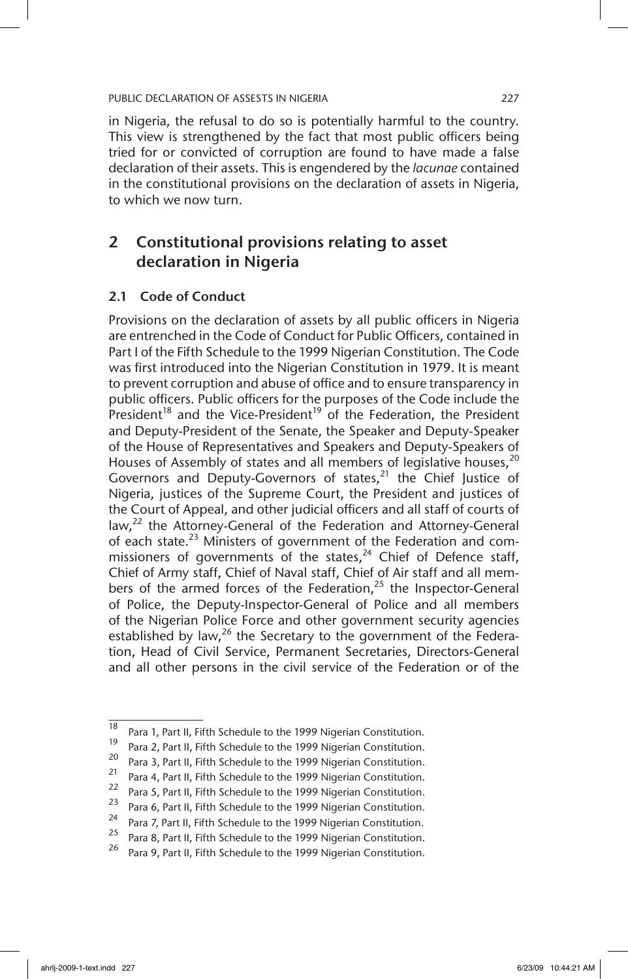in Nigeria, the refusal to do so is potentially harmful to the country. This view is strengthened by the fact that most public officers being tried for or convicted of corruption are found to have made a false declaration of their assets. This is engendered by the *lacunae* contained in the constitutional provisions on the declaration of assets in Nigeria, to which we now turn.

## 2 Constitutional provisions relating to asset declaration in Nigeria

### 2.1 Code of Conduct

Provisions on the declaration of assets by all public officers in Nigeria are entrenched in the Code of Conduct for Public Officers, contained in Part I of the Fifth Schedule to the 1999 Nigerian Constitution. The Code was first introduced into the Nigerian Constitution in 1979. It is meant to prevent corruption and abuse of office and to ensure transparency in public officers. Public officers for the purposes of the Code include the President<sup>18</sup> and the Vice-President<sup>19</sup> of the Federation, the President and Deputy-President of the Senate, the Speaker and Deputy-Speaker of the House of Representatives and Speakers and Deputy-Speakers of Houses of Assembly of states and all members of legislative houses,  $20$ Governors and Deputy-Governors of states, $^{21}$  the Chief Justice of Nigeria, justices of the Supreme Court, the President and justices of the Court of Appeal, and other judicial officers and all staff of courts of law,<sup>22</sup> the Attorney-General of the Federation and Attorney-General of each state. $^{23}$  Ministers of government of the Federation and commissioners of governments of the states, $^{24}$  Chief of Defence staff, Chief of Army staff, Chief of Naval staff, Chief of Air staff and all members of the armed forces of the Federation, $25$  the Inspector-General of Police, the Deputy-Inspector-General of Police and all members of the Nigerian Police Force and other government security agencies established by law, $^{26}$  the Secretary to the government of the Federation, Head of Civil Service, Permanent Secretaries, Directors-General and all other persons in the civil service of the Federation or of the

 $\frac{18}{18}$  Para 1, Part II, Fifth Schedule to the 1999 Nigerian Constitution.

<sup>&</sup>lt;sup>19</sup> Para 2, Part II, Fifth Schedule to the 1999 Nigerian Constitution.<br><sup>20</sup> Para 2, Part II, Fifth Schodule to the 1999 Nigerian Constitution. <sup>20</sup> Para 3, Part II, Fifth Schedule to the 1999 Nigerian Constitution.

<sup>&</sup>lt;sup>21</sup> Para 4, Part II, Fifth Schedule to the 1999 Nigerian Constitution.

<sup>&</sup>lt;sup>22</sup> Para 5, Part II, Fifth Schedule to the 1999 Nigerian Constitution.

<sup>&</sup>lt;sup>23</sup> Para 6, Part II, Fifth Schedule to the 1999 Nigerian Constitution.<br><sup>24</sup> Para <sup>7</sup> Part II, Fifth Schedule to the 1999 Nigerian Constitution.

<sup>&</sup>lt;sup>24</sup> Para 7, Part II, Fifth Schedule to the 1999 Nigerian Constitution.<br><sup>25</sup> Para 8, Part II, Fifth Schedule to the 1999 Nigerian Constitution.

<sup>&</sup>lt;sup>25</sup> Para 8, Part II, Fifth Schedule to the 1999 Nigerian Constitution.<br>26 Page 8, Part II, Fifth Schedule to the 1999 Nigerian Constitution.

Para 9, Part II, Fifth Schedule to the 1999 Nigerian Constitution.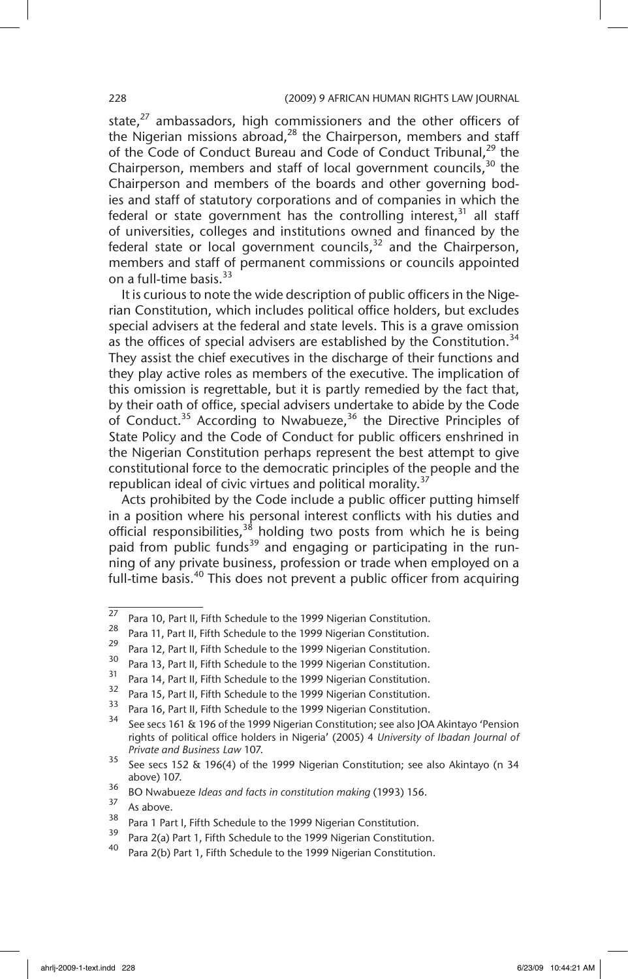state, $27$  ambassadors, high commissioners and the other officers of the Nigerian missions abroad, $28$  the Chairperson, members and staff of the Code of Conduct Bureau and Code of Conduct Tribunal,<sup>29</sup> the Chairperson, members and staff of local government councils,  $30$  the Chairperson and members of the boards and other governing bodies and staff of statutory corporations and of companies in which the federal or state government has the controlling interest,  $31$  all staff of universities, colleges and institutions owned and financed by the federal state or local government councils, $32$  and the Chairperson, members and staff of permanent commissions or councils appointed on a full-time basis. $33$ 

It is curious to note the wide description of public officers in the Nigerian Constitution, which includes political office holders, but excludes special advisers at the federal and state levels. This is a grave omission as the offices of special advisers are established by the Constitution.<sup>34</sup> They assist the chief executives in the discharge of their functions and they play active roles as members of the executive. The implication of this omission is regrettable, but it is partly remedied by the fact that, by their oath of office, special advisers undertake to abide by the Code of Conduct.<sup>35</sup> According to Nwabueze,<sup>36</sup> the Directive Principles of State Policy and the Code of Conduct for public officers enshrined in the Nigerian Constitution perhaps represent the best attempt to give constitutional force to the democratic principles of the people and the republican ideal of civic virtues and political morality.<sup>37</sup>

Acts prohibited by the Code include a public officer putting himself in a position where his personal interest conflicts with his duties and official responsibilities,  $38$  holding two posts from which he is being paid from public funds<sup>39</sup> and engaging or participating in the running of any private business, profession or trade when employed on a full-time basis.<sup>40</sup> This does not prevent a public officer from acquiring

 $\frac{27}{27}$  Para 10, Part II, Fifth Schedule to the 1999 Nigerian Constitution.

<sup>&</sup>lt;sup>28</sup> Para 11, Part II, Fifth Schedule to the 1999 Nigerian Constitution.

<sup>&</sup>lt;sup>29</sup> Para 12, Part II, Fifth Schedule to the 1999 Nigerian Constitution.

<sup>&</sup>lt;sup>30</sup> Para 13, Part II, Fifth Schedule to the 1999 Nigerian Constitution.<br><sup>31</sup> Part 14, Bart II, Fifth Schodule to the 1999 Nigerian Constitution.

<sup>&</sup>lt;sup>31</sup> Para 14, Part II, Fifth Schedule to the 1999 Nigerian Constitution.<br><sup>32</sup> Para 15, Part II, Fith Schedule to the 1999 Nigerian Constitution.

<sup>&</sup>lt;sup>32</sup> Para 15, Part II, Fifth Schedule to the 1999 Nigerian Constitution.

<sup>&</sup>lt;sup>33</sup> Para 16, Part II, Fifth Schedule to the 1999 Nigerian Constitution.

See secs 161 & 196 of the 1999 Nigerian Constitution; see also JOA Akintayo 'Pension rights of political office holders in Nigeria' (2005) 4 *University of Ibadan Journal of Private and Business Law* 107.

 $35$  See secs 152 & 196(4) of the 1999 Nigerian Constitution; see also Akintayo (n 34 above) 107.

<sup>36</sup> BO Nwabueze *Ideas and facts in constitution making* (1993) 156.

 $\frac{37}{38}$  As above.

<sup>&</sup>lt;sup>38</sup> Para 1 Part I, Fifth Schedule to the 1999 Nigerian Constitution.

Para 2(a) Part 1, Fifth Schedule to the 1999 Nigerian Constitution.

Para 2(b) Part 1, Fifth Schedule to the 1999 Nigerian Constitution.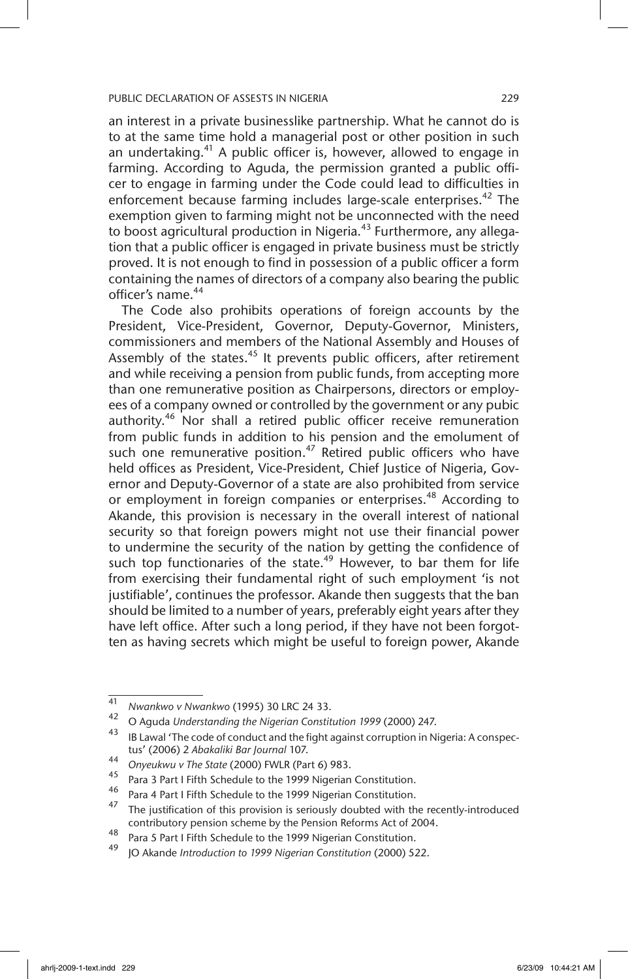an interest in a private businesslike partnership. What he cannot do is to at the same time hold a managerial post or other position in such an undertaking.<sup>41</sup> A public officer is, however, allowed to engage in farming. According to Aguda, the permission granted a public officer to engage in farming under the Code could lead to difficulties in enforcement because farming includes large-scale enterprises.<sup>42</sup> The exemption given to farming might not be unconnected with the need to boost agricultural production in Nigeria.<sup>43</sup> Furthermore, any allegation that a public officer is engaged in private business must be strictly proved. It is not enough to find in possession of a public officer a form containing the names of directors of a company also bearing the public officer's name.<sup>44</sup>

The Code also prohibits operations of foreign accounts by the President, Vice-President, Governor, Deputy-Governor, Ministers, commissioners and members of the National Assembly and Houses of Assembly of the states.<sup>45</sup> It prevents public officers, after retirement and while receiving a pension from public funds, from accepting more than one remunerative position as Chairpersons, directors or employees of a company owned or controlled by the government or any pubic authority.<sup>46</sup> Nor shall a retired public officer receive remuneration from public funds in addition to his pension and the emolument of such one remunerative position.<sup>47</sup> Retired public officers who have held offices as President, Vice-President, Chief Justice of Nigeria, Governor and Deputy-Governor of a state are also prohibited from service or employment in foreign companies or enterprises.<sup>48</sup> According to Akande, this provision is necessary in the overall interest of national security so that foreign powers might not use their financial power to undermine the security of the nation by getting the confidence of such top functionaries of the state.<sup>49</sup> However, to bar them for life from exercising their fundamental right of such employment 'is not justifiable', continues the professor. Akande then suggests that the ban should be limited to a number of years, preferably eight years after they have left office. After such a long period, if they have not been forgotten as having secrets which might be useful to foreign power, Akande

<sup>41</sup> *Nwankwo v Nwankwo* (1995) 30 LRC 24 33.

<sup>42</sup> O Aguda *Understanding the Nigerian Constitution 1999* (2000) 247.

IB Lawal 'The code of conduct and the fight against corruption in Nigeria: A conspectus' (2006) 2 *Abakaliki Bar Journal* 107.

<sup>44</sup> *Onyeukwu v The State* (2000) FWLR (Part 6) 983.

<sup>45</sup> Para 3 Part I Fifth Schedule to the 1999 Nigerian Constitution.

<sup>&</sup>lt;sup>46</sup> Para 4 Part I Fifth Schedule to the 1999 Nigerian Constitution.<br><sup>47</sup> The justification of this previous is exigually deuthed with the

The justification of this provision is seriously doubted with the recently-introduced contributory pension scheme by the Pension Reforms Act of 2004.

<sup>48</sup> Para 5 Part I Fifth Schedule to the 1999 Nigerian Constitution.

<sup>49</sup> JO Akande *Introduction to 1999 Nigerian Constitution* (2000) 522.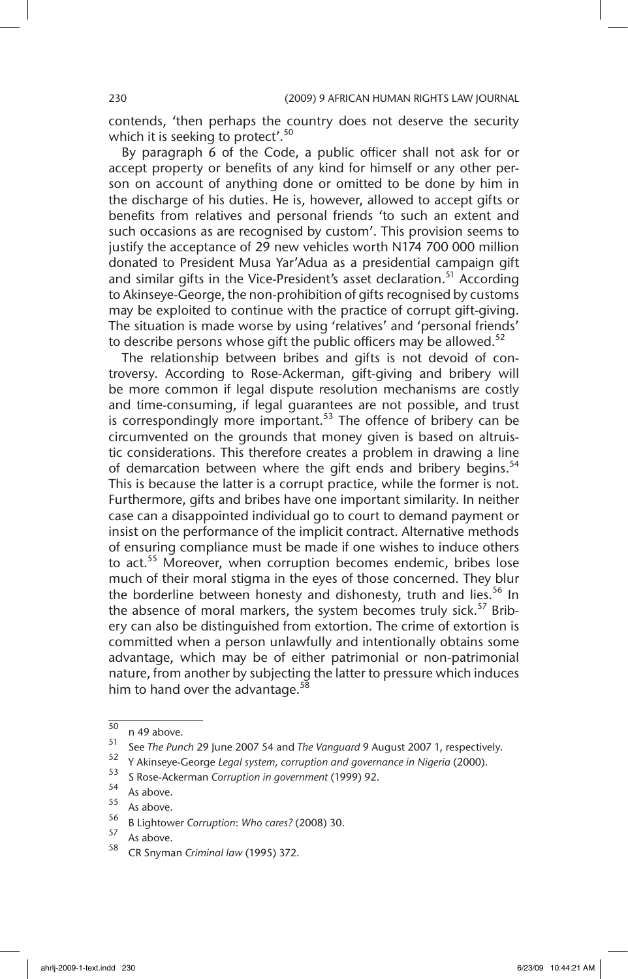contends, 'then perhaps the country does not deserve the security which it is seeking to protect'.<sup>50</sup>

By paragraph 6 of the Code, a public officer shall not ask for or accept property or benefits of any kind for himself or any other person on account of anything done or omitted to be done by him in the discharge of his duties. He is, however, allowed to accept gifts or benefits from relatives and personal friends 'to such an extent and such occasions as are recognised by custom'. This provision seems to justify the acceptance of 29 new vehicles worth N174 700 000 million donated to President Musa Yar'Adua as a presidential campaign gift and similar gifts in the Vice-President's asset declaration.<sup>51</sup> According to Akinseye-George, the non-prohibition of gifts recognised by customs may be exploited to continue with the practice of corrupt gift-giving. The situation is made worse by using 'relatives' and 'personal friends' to describe persons whose gift the public officers may be allowed.<sup>52</sup>

The relationship between bribes and gifts is not devoid of controversy. According to Rose-Ackerman, gift-giving and bribery will be more common if legal dispute resolution mechanisms are costly and time-consuming, if legal guarantees are not possible, and trust is correspondingly more important.<sup>53</sup> The offence of bribery can be circumvented on the grounds that money given is based on altruistic considerations. This therefore creates a problem in drawing a line of demarcation between where the gift ends and bribery begins.<sup>54</sup> This is because the latter is a corrupt practice, while the former is not. Furthermore, gifts and bribes have one important similarity. In neither case can a disappointed individual go to court to demand payment or insist on the performance of the implicit contract. Alternative methods of ensuring compliance must be made if one wishes to induce others to act.<sup>55</sup> Moreover, when corruption becomes endemic, bribes lose much of their moral stigma in the eyes of those concerned. They blur the borderline between honesty and dishonesty, truth and lies.<sup>56</sup> In the absence of moral markers, the system becomes truly sick.<sup>57</sup> Bribery can also be distinguished from extortion. The crime of extortion is committed when a person unlawfully and intentionally obtains some advantage, which may be of either patrimonial or non-patrimonial nature, from another by subjecting the latter to pressure which induces him to hand over the advantage. $^{58}$ 

 $\frac{50}{51}$  n 49 above.

<sup>51</sup> See *The Punch* 29 June 2007 54 and *The Vanguard* 9 August 2007 1, respectively.

<sup>&</sup>lt;sup>52</sup> Y Akinseye-George *Legal system, corruption and governance in Nigeria* (2000).

<sup>53</sup> S Rose-Ackerman *Corruption in government* (1999) 92.

 $55$  As above.

 $\frac{55}{56}$  As above.

<sup>56</sup> B Lightower *Corruption*: *Who cares?* (2008) 30.

 $\frac{57}{58}$  As above.

<sup>58</sup> CR Snyman *Criminal law* (1995) 372.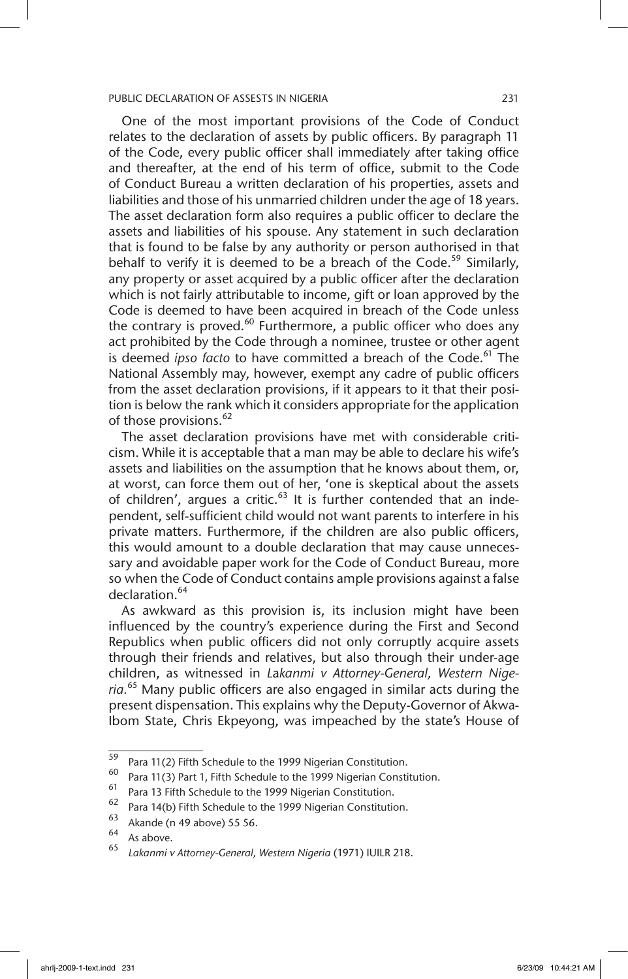One of the most important provisions of the Code of Conduct relates to the declaration of assets by public officers. By paragraph 11 of the Code, every public officer shall immediately after taking office and thereafter, at the end of his term of office, submit to the Code of Conduct Bureau a written declaration of his properties, assets and liabilities and those of his unmarried children under the age of 18 years. The asset declaration form also requires a public officer to declare the assets and liabilities of his spouse. Any statement in such declaration that is found to be false by any authority or person authorised in that behalf to verify it is deemed to be a breach of the Code.<sup>59</sup> Similarly, any property or asset acquired by a public officer after the declaration which is not fairly attributable to income, gift or loan approved by the Code is deemed to have been acquired in breach of the Code unless the contrary is proved. $60$  Furthermore, a public officer who does any act prohibited by the Code through a nominee, trustee or other agent is deemed *ipso facto* to have committed a breach of the Code.<sup>61</sup> The National Assembly may, however, exempt any cadre of public officers from the asset declaration provisions, if it appears to it that their position is below the rank which it considers appropriate for the application of those provisions.<sup>62</sup>

The asset declaration provisions have met with considerable criticism. While it is acceptable that a man may be able to declare his wife's assets and liabilities on the assumption that he knows about them, or, at worst, can force them out of her, 'one is skeptical about the assets of children', argues a critic.<sup>63</sup> It is further contended that an independent, self-sufficient child would not want parents to interfere in his private matters. Furthermore, if the children are also public officers, this would amount to a double declaration that may cause unnecessary and avoidable paper work for the Code of Conduct Bureau, more so when the Code of Conduct contains ample provisions against a false declaration.<sup>64</sup>

As awkward as this provision is, its inclusion might have been influenced by the country's experience during the First and Second Republics when public officers did not only corruptly acquire assets through their friends and relatives, but also through their under-age children, as witnessed in *L*a*kanmi v Attorney-General, Western Nigeria.*<sup>65</sup> Many public officers are also engaged in similar acts during the present dispensation. This explains why the Deputy-Governor of Akwa-Ibom State, Chris Ekpeyong, was impeached by the state's House of

<sup>&</sup>lt;sup>59</sup> Para 11(2) Fifth Schedule to the 1999 Nigerian Constitution.<br> $^{60}$  Para 11(3) Part 1, Fifth Schedule to the 1999 Nigerian Constitution.

<sup>&</sup>lt;sup>60</sup> Para 11(3) Part 1, Fifth Schedule to the 1999 Nigerian Constitution.<br><sup>61</sup> Para 13 Fifth Schodule to the 1999 Nigerian Constitution.

<sup>&</sup>lt;sup>61</sup> Para 13 Fifth Schedule to the 1999 Nigerian Constitution.

<sup>&</sup>lt;sup>62</sup> Para 14(b) Fifth Schedule to the 1999 Nigerian Constitution.

 $^{63}$  Akande (n 49 above) 55 56.

 $65$  As above.

<sup>65</sup> *Lakanmi v Attorney-General, Western Nigeria* (1971) IUILR 218.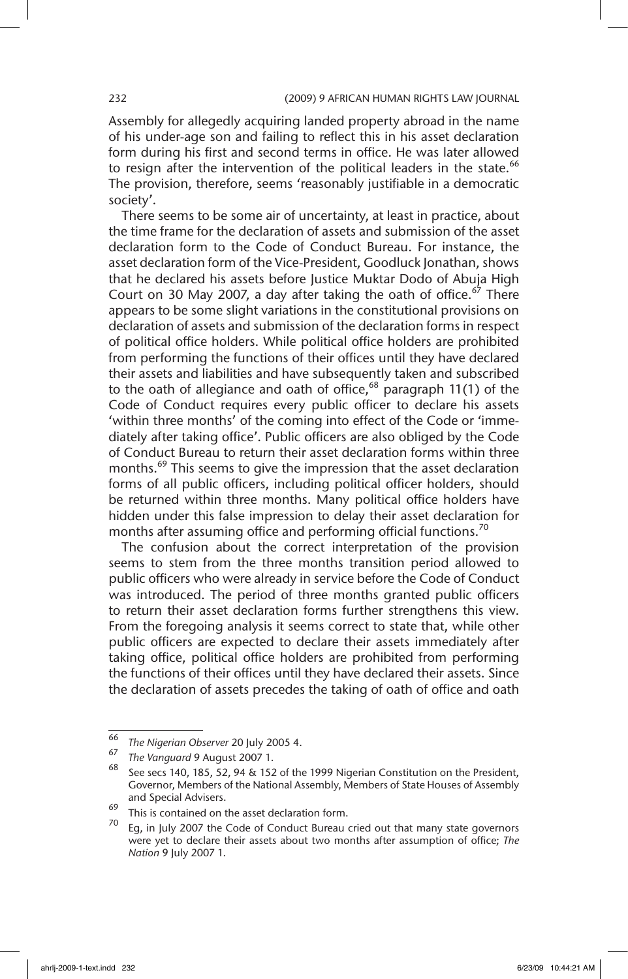Assembly for allegedly acquiring landed property abroad in the name of his under-age son and failing to reflect this in his asset declaration form during his first and second terms in office. He was later allowed to resign after the intervention of the political leaders in the state.<sup>66</sup> The provision, therefore, seems 'reasonably justifiable in a democratic society'.

There seems to be some air of uncertainty, at least in practice, about the time frame for the declaration of assets and submission of the asset declaration form to the Code of Conduct Bureau. For instance, the asset declaration form of the Vice-President, Goodluck Jonathan, shows that he declared his assets before Justice Muktar Dodo of Abuja High Court on 30 May 2007, a day after taking the oath of office.<sup>67</sup> There appears to be some slight variations in the constitutional provisions on declaration of assets and submission of the declaration forms in respect of political office holders. While political office holders are prohibited from performing the functions of their offices until they have declared their assets and liabilities and have subsequently taken and subscribed to the oath of allegiance and oath of office, $68$  paragraph 11(1) of the Code of Conduct requires every public officer to declare his assets 'within three months' of the coming into effect of the Code or 'immediately after taking office'. Public officers are also obliged by the Code of Conduct Bureau to return their asset declaration forms within three months.<sup>69</sup> This seems to give the impression that the asset declaration forms of all public officers, including political officer holders, should be returned within three months. Many political office holders have hidden under this false impression to delay their asset declaration for months after assuming office and performing official functions.<sup>70</sup>

The confusion about the correct interpretation of the provision seems to stem from the three months transition period allowed to public officers who were already in service before the Code of Conduct was introduced. The period of three months granted public officers to return their asset declaration forms further strengthens this view. From the foregoing analysis it seems correct to state that, while other public officers are expected to declare their assets immediately after taking office, political office holders are prohibited from performing the functions of their offices until they have declared their assets. Since the declaration of assets precedes the taking of oath of office and oath

<sup>66</sup> *The Nigerian Observer* 20 July 2005 4.

<sup>67</sup> *The Vanguard* 9 August 2007 1.

See secs 140, 185, 52, 94 & 152 of the 1999 Nigerian Constitution on the President, Governor, Members of the National Assembly, Members of State Houses of Assembly and Special Advisers.

<sup>&</sup>lt;sup>69</sup> This is contained on the asset declaration form.

Eg, in July 2007 the Code of Conduct Bureau cried out that many state governors were yet to declare their assets about two months after assumption of office; *The Nation* 9 July 2007 1.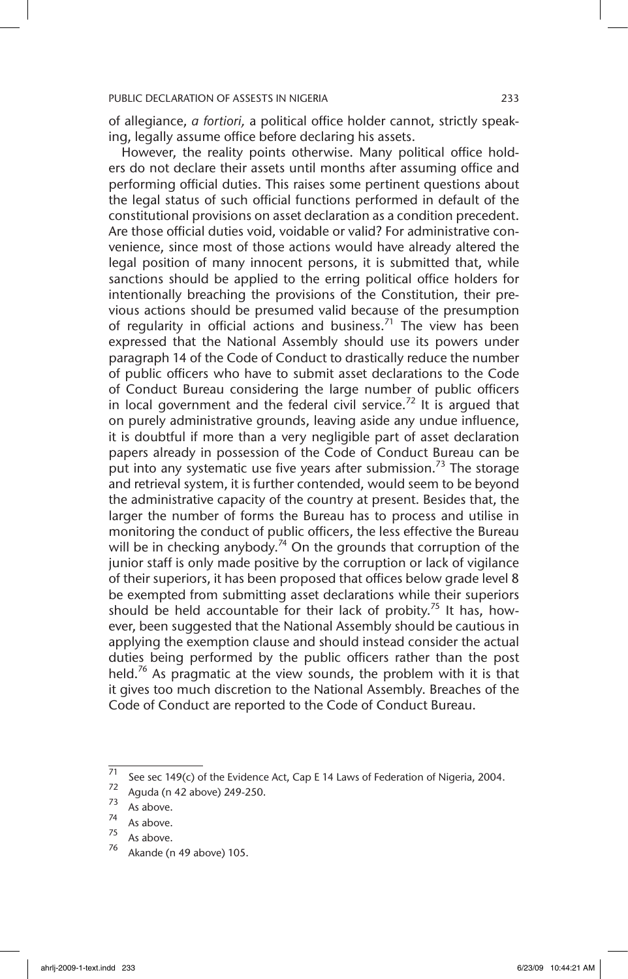of allegiance, *a fortiori,* a political office holder cannot, strictly speaking, legally assume office before declaring his assets.

However, the reality points otherwise. Many political office holders do not declare their assets until months after assuming office and performing official duties. This raises some pertinent questions about the legal status of such official functions performed in default of the constitutional provisions on asset declaration as a condition precedent. Are those official duties void, voidable or valid? For administrative convenience, since most of those actions would have already altered the legal position of many innocent persons, it is submitted that, while sanctions should be applied to the erring political office holders for intentionally breaching the provisions of the Constitution, their previous actions should be presumed valid because of the presumption of regularity in official actions and business.<sup>71</sup> The view has been expressed that the National Assembly should use its powers under paragraph 14 of the Code of Conduct to drastically reduce the number of public officers who have to submit asset declarations to the Code of Conduct Bureau considering the large number of public officers in local government and the federal civil service.<sup>72</sup> It is argued that on purely administrative grounds, leaving aside any undue influence, it is doubtful if more than a very negligible part of asset declaration papers already in possession of the Code of Conduct Bureau can be put into any systematic use five years after submission.<sup>73</sup> The storage and retrieval system, it is further contended, would seem to be beyond the administrative capacity of the country at present. Besides that, the larger the number of forms the Bureau has to process and utilise in monitoring the conduct of public officers, the less effective the Bureau will be in checking anybody.<sup>74</sup> On the grounds that corruption of the junior staff is only made positive by the corruption or lack of vigilance of their superiors, it has been proposed that offices below grade level 8 be exempted from submitting asset declarations while their superiors should be held accountable for their lack of probity.<sup>75</sup> It has, however, been suggested that the National Assembly should be cautious in applying the exemption clause and should instead consider the actual duties being performed by the public officers rather than the post held.<sup>76</sup> As pragmatic at the view sounds, the problem with it is that it gives too much discretion to the National Assembly. Breaches of the Code of Conduct are reported to the Code of Conduct Bureau.

 $\frac{71}{71}$  See sec 149(c) of the Evidence Act, Cap E 14 Laws of Federation of Nigeria, 2004.

 $\frac{72}{73}$  Aguda (n 42 above) 249-250.

 $\frac{73}{74}$  As above.

 $^{74}$  As above.

 $\frac{75}{76}$  As above.

Akande (n 49 above) 105.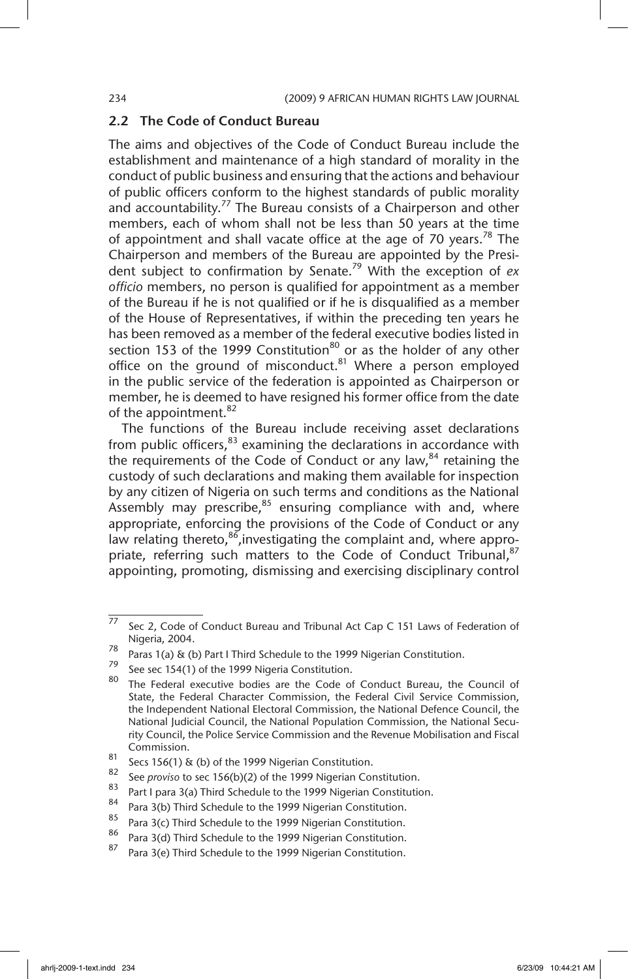### 2.2 The Code of Conduct Bureau

The aims and objectives of the Code of Conduct Bureau include the establishment and maintenance of a high standard of morality in the conduct of public business and ensuring that the actions and behaviour of public officers conform to the highest standards of public morality and accountability.<sup>77</sup> The Bureau consists of a Chairperson and other members, each of whom shall not be less than 50 years at the time of appointment and shall vacate office at the age of 70 years.<sup>78</sup> The Chairperson and members of the Bureau are appointed by the President subject to confirmation by Senate.79 With the exception of *ex officio* members, no person is qualified for appointment as a member of the Bureau if he is not qualified or if he is disqualified as a member of the House of Representatives, if within the preceding ten years he has been removed as a member of the federal executive bodies listed in section 153 of the 1999 Constitution $80$  or as the holder of any other office on the ground of misconduct. $81$  Where a person employed in the public service of the federation is appointed as Chairperson or member, he is deemed to have resigned his former office from the date of the appointment.<sup>82</sup>

The functions of the Bureau include receiving asset declarations from public officers, $83$  examining the declarations in accordance with the requirements of the Code of Conduct or any law, $84$  retaining the custody of such declarations and making them available for inspection by any citizen of Nigeria on such terms and conditions as the National Assembly may prescribe, $85$  ensuring compliance with and, where appropriate, enforcing the provisions of the Code of Conduct or any law relating thereto, $86$ , investigating the complaint and, where appropriate, referring such matters to the Code of Conduct Tribunal, 87 appointing, promoting, dismissing and exercising disciplinary control

 $\frac{77}{72}$  Sec 2, Code of Conduct Bureau and Tribunal Act Cap C 151 Laws of Federation of Nigeria, 2004.

Paras 1(a) & (b) Part I Third Schedule to the 1999 Nigerian Constitution.<br> $79 - 56.133 + 64.232 + 1000$  Nigeria Constitution

See sec 154(1) of the 1999 Nigeria Constitution.

<sup>80</sup> The Federal executive bodies are the Code of Conduct Bureau, the Council of State, the Federal Character Commission, the Federal Civil Service Commission, the Independent National Electoral Commission, the National Defence Council, the National Judicial Council, the National Population Commission, the National Security Council, the Police Service Commission and the Revenue Mobilisation and Fiscal Commission.

<sup>&</sup>lt;sup>81</sup> Secs 156(1) & (b) of the 1999 Nigerian Constitution.

<sup>82</sup> See *proviso* to sec 156(b)(2) of the 1999 Nigerian Constitution.

<sup>&</sup>lt;sup>83</sup> Part I para 3(a) Third Schedule to the 1999 Nigerian Constitution.

<sup>&</sup>lt;sup>84</sup> Para 3(b) Third Schedule to the 1999 Nigerian Constitution.

<sup>&</sup>lt;sup>85</sup> Para 3(c) Third Schedule to the 1999 Nigerian Constitution.

<sup>&</sup>lt;sup>80</sup> Para 3(d) Third Schedule to the 1999 Nigerian Constitution.<br><sup>87</sup> Para 3(s) Third Schedule to the 1999 Nigerian Constitution.

Para 3(e) Third Schedule to the 1999 Nigerian Constitution.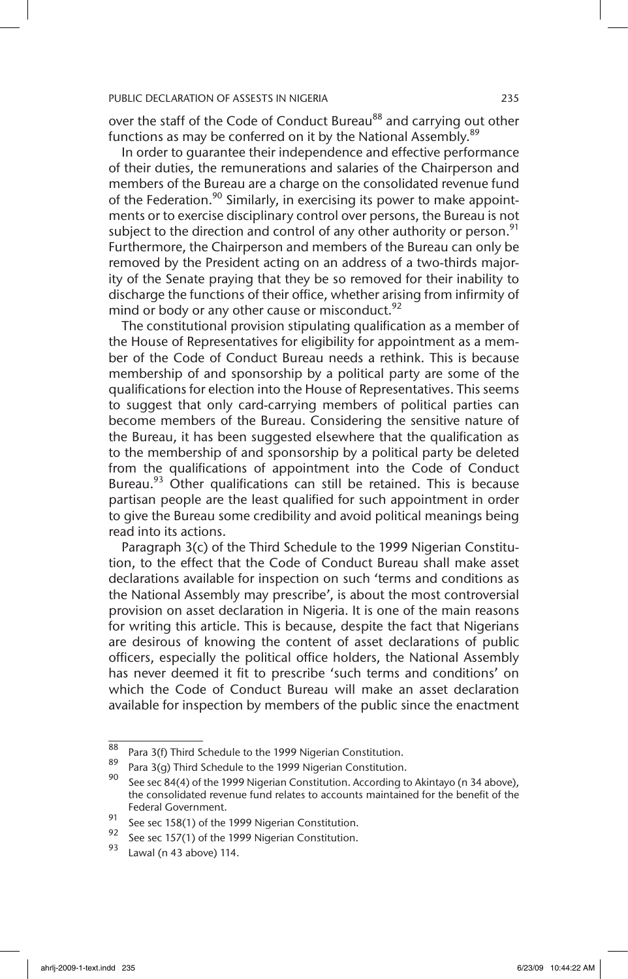over the staff of the Code of Conduct Bureau<sup>88</sup> and carrying out other functions as may be conferred on it by the National Assembly.<sup>89</sup>

In order to guarantee their independence and effective performance of their duties, the remunerations and salaries of the Chairperson and members of the Bureau are a charge on the consolidated revenue fund of the Federation.<sup>90</sup> Similarly, in exercising its power to make appointments or to exercise disciplinary control over persons, the Bureau is not subject to the direction and control of any other authority or person.<sup>91</sup> Furthermore, the Chairperson and members of the Bureau can only be removed by the President acting on an address of a two-thirds majority of the Senate praying that they be so removed for their inability to discharge the functions of their office, whether arising from infirmity of mind or body or any other cause or misconduct. $^{92}$ 

The constitutional provision stipulating qualification as a member of the House of Representatives for eligibility for appointment as a member of the Code of Conduct Bureau needs a rethink. This is because membership of and sponsorship by a political party are some of the qualifications for election into the House of Representatives. This seems to suggest that only card-carrying members of political parties can become members of the Bureau. Considering the sensitive nature of the Bureau, it has been suggested elsewhere that the qualification as to the membership of and sponsorship by a political party be deleted from the qualifications of appointment into the Code of Conduct Bureau.<sup>93</sup> Other qualifications can still be retained. This is because partisan people are the least qualified for such appointment in order to give the Bureau some credibility and avoid political meanings being read into its actions.

Paragraph 3(c) of the Third Schedule to the 1999 Nigerian Constitution, to the effect that the Code of Conduct Bureau shall make asset declarations available for inspection on such 'terms and conditions as the National Assembly may prescribe', is about the most controversial provision on asset declaration in Nigeria. It is one of the main reasons for writing this article. This is because, despite the fact that Nigerians are desirous of knowing the content of asset declarations of public officers, especially the political office holders, the National Assembly has never deemed it fit to prescribe 'such terms and conditions' on which the Code of Conduct Bureau will make an asset declaration available for inspection by members of the public since the enactment

<sup>88</sup> Para 3(f) Third Schedule to the 1999 Nigerian Constitution.

<sup>&</sup>lt;sup>89</sup> Para 3(g) Third Schedule to the 1999 Nigerian Constitution.<br>90 September 2006 Nigerian Constitution.

See sec 84(4) of the 1999 Nigerian Constitution. According to Akintayo (n 34 above), the consolidated revenue fund relates to accounts maintained for the benefit of the Federal Government.

<sup>91</sup> See sec 158(1) of the 1999 Nigerian Constitution.<br>92 See sec 157(1) of the 1999 Nigerian Constitution.

<sup>&</sup>lt;sup>92</sup> See sec 157(1) of the 1999 Nigerian Constitution.

Lawal (n 43 above) 114.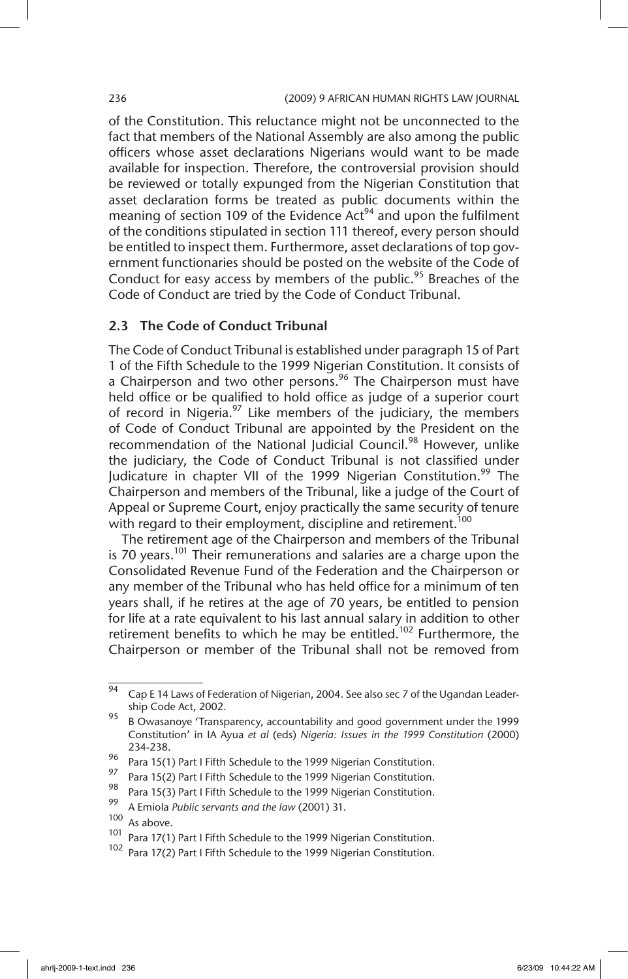of the Constitution. This reluctance might not be unconnected to the fact that members of the National Assembly are also among the public officers whose asset declarations Nigerians would want to be made available for inspection. Therefore, the controversial provision should be reviewed or totally expunged from the Nigerian Constitution that asset declaration forms be treated as public documents within the meaning of section 109 of the Evidence  $Act<sup>94</sup>$  and upon the fulfilment of the conditions stipulated in section 111 thereof, every person should be entitled to inspect them. Furthermore, asset declarations of top government functionaries should be posted on the website of the Code of Conduct for easy access by members of the public.<sup>95</sup> Breaches of the Code of Conduct are tried by the Code of Conduct Tribunal.

### 2.3 The Code of Conduct Tribunal

The Code of Conduct Tribunal is established under paragraph 15 of Part 1 of the Fifth Schedule to the 1999 Nigerian Constitution. It consists of a Chairperson and two other persons.<sup>96</sup> The Chairperson must have held office or be qualified to hold office as judge of a superior court of record in Nigeria. $97$  Like members of the judiciary, the members of Code of Conduct Tribunal are appointed by the President on the recommendation of the National Judicial Council.<sup>98</sup> However, unlike the judiciary, the Code of Conduct Tribunal is not classified under Judicature in chapter VII of the 1999 Nigerian Constitution.<sup>99</sup> The Chairperson and members of the Tribunal, like a judge of the Court of Appeal or Supreme Court, enjoy practically the same security of tenure with regard to their employment, discipline and retirement.<sup>100</sup>

The retirement age of the Chairperson and members of the Tribunal is 70 years.<sup>101</sup> Their remunerations and salaries are a charge upon the Consolidated Revenue Fund of the Federation and the Chairperson or any member of the Tribunal who has held office for a minimum of ten years shall, if he retires at the age of 70 years, be entitled to pension for life at a rate equivalent to his last annual salary in addition to other retirement benefits to which he may be entitled.<sup>102</sup> Furthermore, the Chairperson or member of the Tribunal shall not be removed from

 $\frac{1}{94}$  Cap E 14 Laws of Federation of Nigerian, 2004. See also sec 7 of the Ugandan Leadership Code Act, 2002.

<sup>95</sup> B Owasanoye 'Transparency, accountability and good government under the 1999 Constitution' in IA Ayua *et al* (eds) *Nigeria: Issues in the 1999 Constitution* (2000) 234-238.

<sup>96</sup> Para 15(1) Part I Fifth Schedule to the 1999 Nigerian Constitution.<br>97 Part 15(2) Bart Lifth Schedule to the 1999 Nigerian Constitution.

<sup>&</sup>lt;sup>97</sup> Para 15(2) Part I Fifth Schedule to the 1999 Nigerian Constitution.<br><sup>98</sup> Para 15(3) Part Li<sup>ttle</sup> Schodule to the 1999 Nigerian Constitution.

<sup>&</sup>lt;sup>98</sup> Para 15(3) Part I Fifth Schedule to the 1999 Nigerian Constitution.

<sup>99</sup> A Emiola *Public servants and the law* (2001) 31.

 $\frac{100}{101}$  As above.

Para 17(1) Part I Fifth Schedule to the 1999 Nigerian Constitution.

Para 17(2) Part I Fifth Schedule to the 1999 Nigerian Constitution.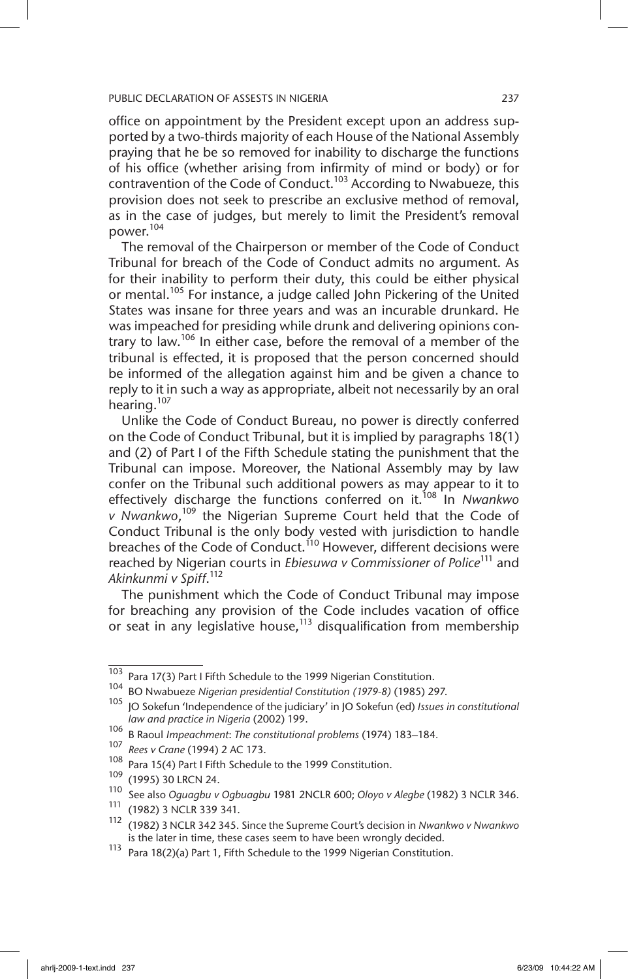office on appointment by the President except upon an address supported by a two-thirds majority of each House of the National Assembly praying that he be so removed for inability to discharge the functions of his office (whether arising from infirmity of mind or body) or for contravention of the Code of Conduct.<sup>103</sup> According to Nwabueze, this provision does not seek to prescribe an exclusive method of removal, as in the case of judges, but merely to limit the President's removal power.<sup>104</sup>

The removal of the Chairperson or member of the Code of Conduct Tribunal for breach of the Code of Conduct admits no argument. As for their inability to perform their duty, this could be either physical or mental.<sup>105</sup> For instance, a judge called John Pickering of the United States was insane for three years and was an incurable drunkard. He was impeached for presiding while drunk and delivering opinions contrary to law.<sup>106</sup> In either case, before the removal of a member of the tribunal is effected, it is proposed that the person concerned should be informed of the allegation against him and be given a chance to reply to it in such a way as appropriate, albeit not necessarily by an oral hearing.<sup>107</sup>

Unlike the Code of Conduct Bureau, no power is directly conferred on the Code of Conduct Tribunal, but it is implied by paragraphs 18(1) and (2) of Part I of the Fifth Schedule stating the punishment that the Tribunal can impose. Moreover, the National Assembly may by law confer on the Tribunal such additional powers as may appear to it to effectively discharge the functions conferred on it.<sup>108</sup> In *Nwankwo v Nwankwo*, 109 the Nigerian Supreme Court held that the Code of Conduct Tribunal is the only body vested with jurisdiction to handle breaches of the Code of Conduct.<sup>110</sup> However, different decisions were reached by Nigerian courts in *Ebiesuwa v Commissioner of Police*<sup>111</sup> and *Akinkunmi v Spiff*. 112

The punishment which the Code of Conduct Tribunal may impose for breaching any provision of the Code includes vacation of office or seat in any legislative house, $113$  disqualification from membership

 $\frac{103}{103}$  Para 17(3) Part I Fifth Schedule to the 1999 Nigerian Constitution.

<sup>104</sup> BO Nwabueze *Nigerian presidential Constitution (1979-8)* (1985) 297.

<sup>105</sup> JO Sokefun 'Independence of the judiciary' in JO Sokefun (ed) *Issues in constitutional law and practice in Nigeria* (2002) 199.

<sup>106</sup> B Raoul *Impeachment*: *The constitutional problems* (1974) 183–184*.*

<sup>107</sup> *Rees v Crane* (1994) 2 AC 173.

<sup>&</sup>lt;sup>108</sup> Para 15(4) Part I Fifth Schedule to the 1999 Constitution.

 $^{109}$  (1995) 30 LRCN 24.

<sup>110</sup> See also *Oguagbu v Ogbuagbu* 1981 2NCLR 600; *Oloyo v Alegbe* (1982) 3 NCLR 346.

<sup>111</sup> (1982) 3 NCLR 339 341.

<sup>112</sup> (1982) 3 NCLR 342 345. Since the Supreme Court's decision in *Nwankwo v Nwankwo*  is the later in time, these cases seem to have been wrongly decided.

<sup>113</sup> Para 18(2)(a) Part 1, Fifth Schedule to the 1999 Nigerian Constitution.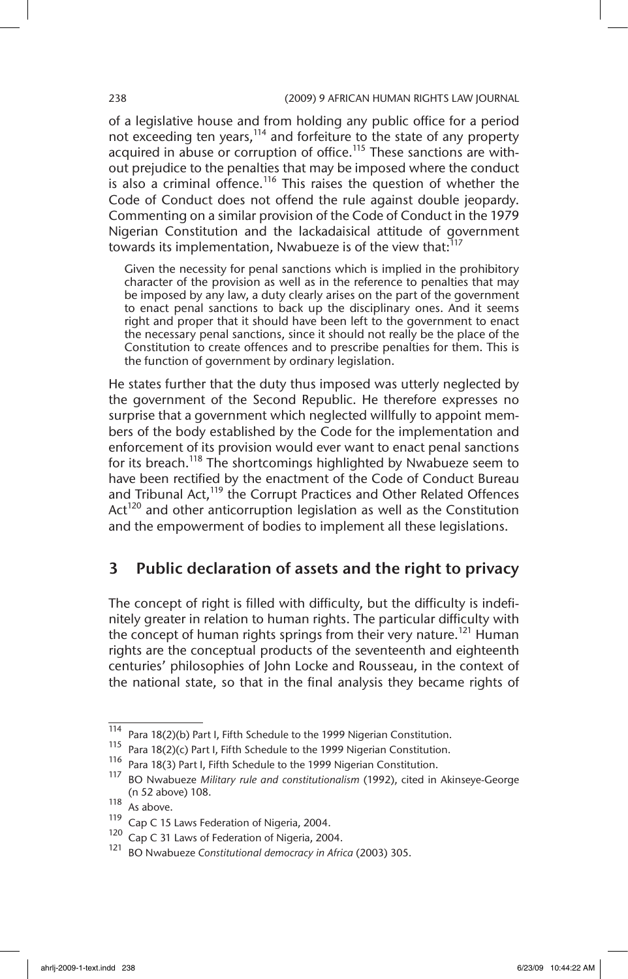### 238 (2009) 9 AFRICAN HUMAN RIGHTS LAW JOURNAL

of a legislative house and from holding any public office for a period not exceeding ten years,<sup>114</sup> and forfeiture to the state of any property acquired in abuse or corruption of office.<sup>115</sup> These sanctions are without prejudice to the penalties that may be imposed where the conduct is also a criminal offence.<sup>116</sup> This raises the question of whether the Code of Conduct does not offend the rule against double jeopardy. Commenting on a similar provision of the Code of Conduct in the 1979 Nigerian Constitution and the lackadaisical attitude of government towards its implementation, Nwabueze is of the view that: $^{117}$ 

Given the necessity for penal sanctions which is implied in the prohibitory character of the provision as well as in the reference to penalties that may be imposed by any law, a duty clearly arises on the part of the government to enact penal sanctions to back up the disciplinary ones. And it seems right and proper that it should have been left to the government to enact the necessary penal sanctions, since it should not really be the place of the Constitution to create offences and to prescribe penalties for them. This is the function of government by ordinary legislation.

He states further that the duty thus imposed was utterly neglected by the government of the Second Republic. He therefore expresses no surprise that a government which neglected willfully to appoint members of the body established by the Code for the implementation and enforcement of its provision would ever want to enact penal sanctions for its breach.<sup>118</sup> The shortcomings highlighted by Nwabueze seem to have been rectified by the enactment of the Code of Conduct Bureau and Tribunal Act,<sup>119</sup> the Corrupt Practices and Other Related Offences Act<sup>120</sup> and other anticorruption legislation as well as the Constitution and the empowerment of bodies to implement all these legislations.

## 3 Public declaration of assets and the right to privacy

The concept of right is filled with difficulty, but the difficulty is indefinitely greater in relation to human rights. The particular difficulty with the concept of human rights springs from their very nature.<sup>121</sup> Human rights are the conceptual products of the seventeenth and eighteenth centuries' philosophies of John Locke and Rousseau, in the context of the national state, so that in the final analysis they became rights of

 $\frac{114}{114}$  Para 18(2)(b) Part I, Fifth Schedule to the 1999 Nigerian Constitution.

<sup>115</sup> Para 18(2)(c) Part I, Fifth Schedule to the 1999 Nigerian Constitution.

<sup>116</sup> Para 18(3) Part I, Fifth Schedule to the 1999 Nigerian Constitution.<br>117 DO Numbuase Military rule and constitutionalism (1992), cited in

<sup>117</sup> BO Nwabueze *Military rule and constitutionalism* (1992), cited in Akinseye-George (n 52 above) 108.

 $118$  As above.

<sup>119</sup> Cap C 15 Laws Federation of Nigeria, 2004.<br> $\frac{120}{22}$  Cap C 31 Laws of Federation of Nigeria, 200

<sup>&</sup>lt;sup>120</sup> Cap C 31 Laws of Federation of Nigeria, 2004.

<sup>121</sup> BO Nwabueze *Constitutional democracy in Africa* (2003) 305.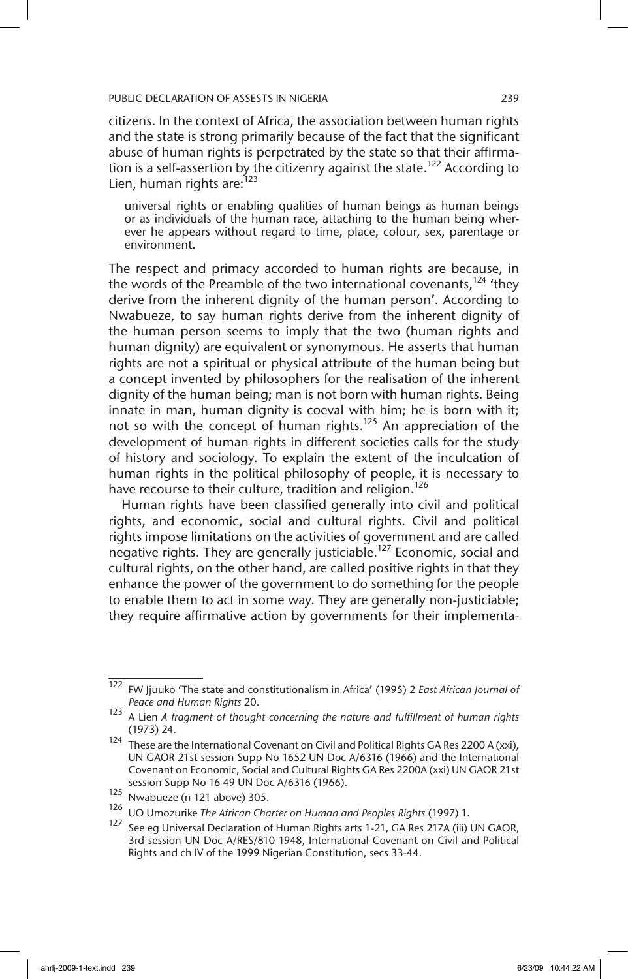citizens. In the context of Africa, the association between human rights and the state is strong primarily because of the fact that the significant abuse of human rights is perpetrated by the state so that their affirmation is a self-assertion by the citizenry against the state.<sup>122</sup> According to Lien, human rights are:<sup>123</sup>

universal rights or enabling qualities of human beings as human beings or as individuals of the human race, attaching to the human being wherever he appears without regard to time, place, colour, sex, parentage or environment.

The respect and primacy accorded to human rights are because, in the words of the Preamble of the two international covenants.<sup>124</sup> 'thev derive from the inherent dignity of the human person'. According to Nwabueze, to say human rights derive from the inherent dignity of the human person seems to imply that the two (human rights and human dignity) are equivalent or synonymous. He asserts that human rights are not a spiritual or physical attribute of the human being but a concept invented by philosophers for the realisation of the inherent dignity of the human being; man is not born with human rights. Being innate in man, human dignity is coeval with him; he is born with it; not so with the concept of human rights.<sup>125</sup> An appreciation of the development of human rights in different societies calls for the study of history and sociology. To explain the extent of the inculcation of human rights in the political philosophy of people, it is necessary to have recourse to their culture, tradition and religion.<sup>126</sup>

Human rights have been classified generally into civil and political rights, and economic, social and cultural rights. Civil and political rights impose limitations on the activities of government and are called negative rights. They are generally justiciable.127 Economic, social and cultural rights, on the other hand, are called positive rights in that they enhance the power of the government to do something for the people to enable them to act in some way. They are generally non-justiciable; they require affirmative action by governments for their implementa-

<sup>122</sup> FW Jjuuko 'The state and constitutionalism in Africa' (1995) 2 *East African Journal of Peace and Human Rights* 20.

<sup>123</sup> A Lien *A fragment of thought concerning the nature and fulfillment of human rights*  (1973) 24.

<sup>124</sup> These are the International Covenant on Civil and Political Rights GA Res 2200 A (xxi), UN GAOR 21st session Supp No 1652 UN Doc A/6316 (1966) and the International Covenant on Economic, Social and Cultural Rights GA Res 2200A (xxi) UN GAOR 21st session Supp No 16 49 UN Doc A/6316 (1966).

<sup>125</sup> Nwabueze (n 121 above) 305.

<sup>126</sup> UO Umozurike *The African Charter on Human and Peoples Rights* (1997) 1.

<sup>&</sup>lt;sup>127</sup> See eg Universal Declaration of Human Rights arts 1-21, GA Res 217A (iii) UN GAOR, 3rd session UN Doc A/RES/810 1948, International Covenant on Civil and Political Rights and ch IV of the 1999 Nigerian Constitution, secs 33-44.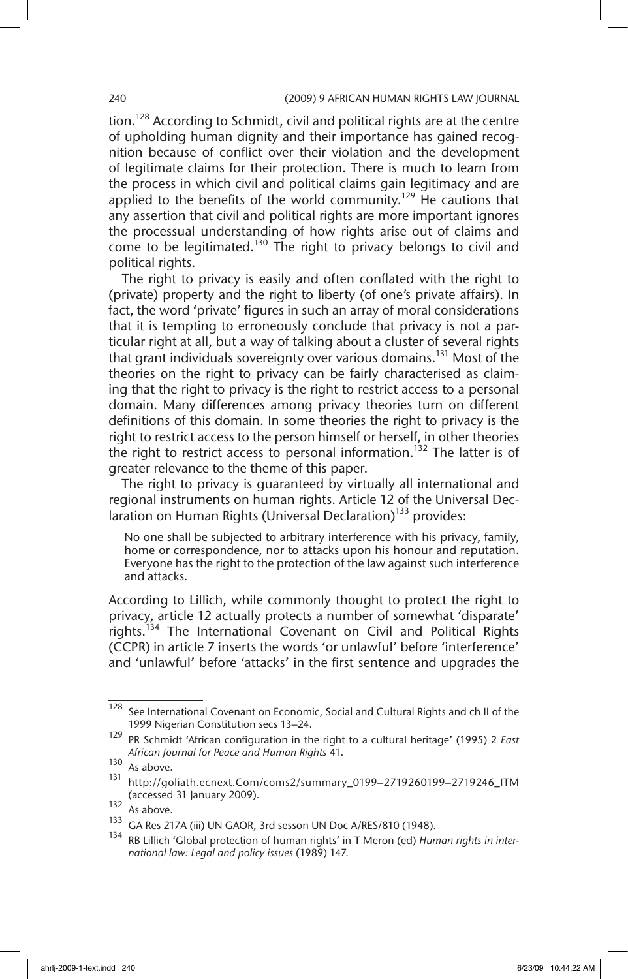tion.<sup>128</sup> According to Schmidt, civil and political rights are at the centre of upholding human dignity and their importance has gained recognition because of conflict over their violation and the development of legitimate claims for their protection. There is much to learn from the process in which civil and political claims gain legitimacy and are applied to the benefits of the world community.<sup>129</sup> He cautions that any assertion that civil and political rights are more important ignores the processual understanding of how rights arise out of claims and come to be legitimated.<sup>130</sup> The right to privacy belongs to civil and political rights.

The right to privacy is easily and often conflated with the right to (private) property and the right to liberty (of one's private affairs). In fact, the word 'private' figures in such an array of moral considerations that it is tempting to erroneously conclude that privacy is not a particular right at all, but a way of talking about a cluster of several rights that grant individuals sovereignty over various domains.<sup>131</sup> Most of the theories on the right to privacy can be fairly characterised as claiming that the right to privacy is the right to restrict access to a personal domain. Many differences among privacy theories turn on different definitions of this domain. In some theories the right to privacy is the right to restrict access to the person himself or herself, in other theories the right to restrict access to personal information.<sup>132</sup> The latter is of greater relevance to the theme of this paper.

The right to privacy is guaranteed by virtually all international and regional instruments on human rights. Article 12 of the Universal Declaration on Human Rights (Universal Declaration)<sup>133</sup> provides:

No one shall be subjected to arbitrary interference with his privacy, family, home or correspondence, nor to attacks upon his honour and reputation. Everyone has the right to the protection of the law against such interference and attacks.

According to Lillich, while commonly thought to protect the right to privacy, article 12 actually protects a number of somewhat 'disparate' rights.<sup>134</sup> The International Covenant on Civil and Political Rights (CCPR) in article 7 inserts the words 'or unlawful' before 'interference' and 'unlawful' before 'attacks' in the first sentence and upgrades the

<sup>128</sup> See International Covenant on Economic, Social and Cultural Rights and ch II of the 1999 Nigerian Constitution secs 13–24.

<sup>129</sup> PR Schmidt 'African configuration in the right to a cultural heritage' (1995) 2 *East African Journal for Peace and Human Rights* 41.

 $\frac{130}{131}$  As above.

<sup>131</sup> http://goliath.ecnext.Com/coms2/summary\_0199–2719260199–2719246\_ITM (accessed 31 January 2009).

 $132$  As above.

<sup>133</sup> GA Res 217A (iii) UN GAOR, 3rd sesson UN Doc A/RES/810 (1948).

<sup>134</sup> RB Lillich 'Global protection of human rights' in T Meron (ed) *Human rights in international law: Legal and policy issues* (1989) 147.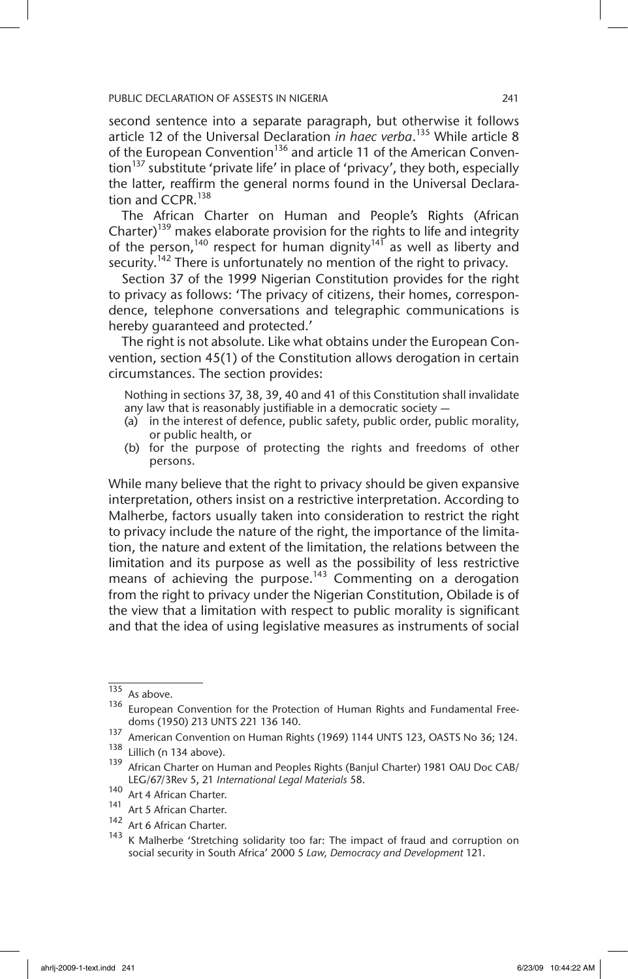second sentence into a separate paragraph, but otherwise it follows article 12 of the Universal Declaration *in haec verba*. 135 While article 8 of the European Convention<sup>136</sup> and article 11 of the American Convention<sup>137</sup> substitute 'private life' in place of 'privacy', they both, especially the latter, reaffirm the general norms found in the Universal Declaration and CCPR.<sup>138</sup>

The African Charter on Human and People's Rights (African Charter)<sup>139</sup> makes elaborate provision for the rights to life and integrity of the person,<sup>140</sup> respect for human dignity<sup>141</sup> as well as liberty and security.<sup>142</sup> There is unfortunately no mention of the right to privacy.

Section 37 of the 1999 Nigerian Constitution provides for the right to privacy as follows: 'The privacy of citizens, their homes, correspondence, telephone conversations and telegraphic communications is hereby guaranteed and protected.'

The right is not absolute. Like what obtains under the European Convention, section 45(1) of the Constitution allows derogation in certain circumstances. The section provides:

Nothing in sections 37, 38, 39, 40 and 41 of this Constitution shall invalidate any law that is reasonably justifiable in a democratic society —

- (a) in the interest of defence, public safety, public order, public morality, or public health, or
- (b) for the purpose of protecting the rights and freedoms of other persons.

While many believe that the right to privacy should be given expansive interpretation, others insist on a restrictive interpretation. According to Malherbe, factors usually taken into consideration to restrict the right to privacy include the nature of the right, the importance of the limitation, the nature and extent of the limitation, the relations between the limitation and its purpose as well as the possibility of less restrictive means of achieving the purpose.<sup>143</sup> Commenting on a derogation from the right to privacy under the Nigerian Constitution, Obilade is of the view that a limitation with respect to public morality is significant and that the idea of using legislative measures as instruments of social

 $\frac{135}{136}$  As above.

European Convention for the Protection of Human Rights and Fundamental Freedoms (1950) 213 UNTS 221 136 140.

<sup>&</sup>lt;sup>137</sup> American Convention on Human Rights (1969) 1144 UNTS 123, OASTS No 36; 124.

 $138$  Lillich (n 134 above).

<sup>139</sup> African Charter on Human and Peoples Rights (Banjul Charter) 1981 OAU Doc CAB/ LEG/67/3Rev 5, 21 *International Legal Materials* 58.

<sup>140</sup> Art 4 African Charter.

<sup>&</sup>lt;sup>141</sup> Art 5 African Charter.<br><sup>142</sup> Art 6 African Charter.

Art 6 African Charter.

K Malherbe 'Stretching solidarity too far: The impact of fraud and corruption on social security in South Africa' 2000 5 *Law, Democracy and Development* 121.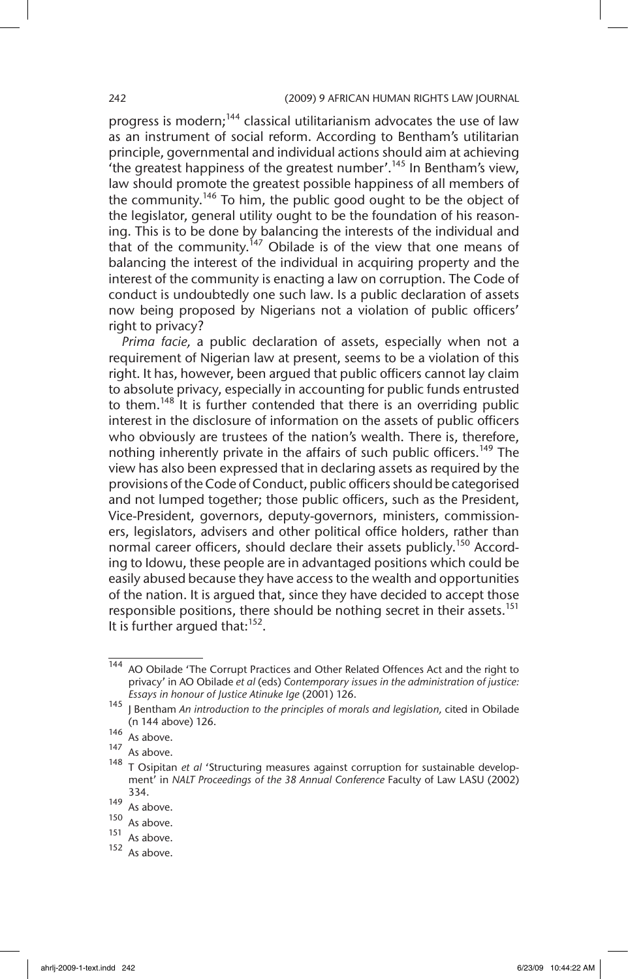progress is modern;<sup>144</sup> classical utilitarianism advocates the use of law as an instrument of social reform. According to Bentham's utilitarian principle, governmental and individual actions should aim at achieving 'the greatest happiness of the greatest number'.<sup>145</sup> In Bentham's view, law should promote the greatest possible happiness of all members of the community.<sup>146</sup> To him, the public good ought to be the object of the legislator, general utility ought to be the foundation of his reasoning. This is to be done by balancing the interests of the individual and that of the community.<sup>147</sup> Obilade is of the view that one means of balancing the interest of the individual in acquiring property and the interest of the community is enacting a law on corruption. The Code of conduct is undoubtedly one such law. Is a public declaration of assets now being proposed by Nigerians not a violation of public officers' right to privacy?

*Prima facie,* a public declaration of assets, especially when not a requirement of Nigerian law at present, seems to be a violation of this right. It has, however, been argued that public officers cannot lay claim to absolute privacy, especially in accounting for public funds entrusted to them.<sup>148</sup> It is further contended that there is an overriding public interest in the disclosure of information on the assets of public officers who obviously are trustees of the nation's wealth. There is, therefore, nothing inherently private in the affairs of such public officers.<sup>149</sup> The view has also been expressed that in declaring assets as required by the provisions of the Code of Conduct, public officers should be categorised and not lumped together; those public officers, such as the President, Vice-President, governors, deputy-governors, ministers, commissioners, legislators, advisers and other political office holders, rather than normal career officers, should declare their assets publicly.<sup>150</sup> According to Idowu, these people are in advantaged positions which could be easily abused because they have access to the wealth and opportunities of the nation. It is argued that, since they have decided to accept those responsible positions, there should be nothing secret in their assets.<sup>151</sup> It is further argued that: $152$ .

<sup>144</sup> AO Obilade 'The Corrupt Practices and Other Related Offences Act and the right to privacy' in AO Obilade *et al* (eds) *Contemporary issues in the administration of justice: Essays in honour of Justice Atinuke Ige* (2001) 126.

<sup>&</sup>lt;sup>145</sup> J Bentham *An introduction to the principles of morals and legislation*, cited in Obilade (n 144 above) 126.

 $\frac{146}{\text{As above}}$ .

As above.

<sup>148</sup> T Osipitan *et al* 'Structuring measures against corruption for sustainable development' in *NALT Proceedings of the 38 Annual Conference* Faculty of Law LASU (2002) 334.

 $\frac{149}{150}$  As above.

 $150$  As above.

 $\frac{151}{152}$  As above.

As above.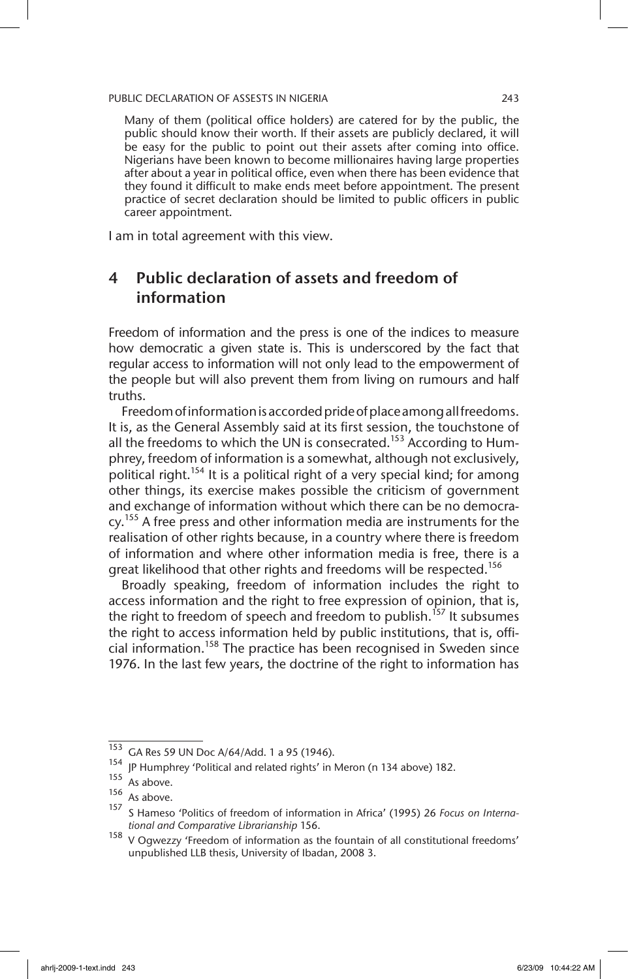Many of them (political office holders) are catered for by the public, the public should know their worth. If their assets are publicly declared, it will be easy for the public to point out their assets after coming into office. Nigerians have been known to become millionaires having large properties after about a year in political office, even when there has been evidence that they found it difficult to make ends meet before appointment. The present practice of secret declaration should be limited to public officers in public career appointment.

I am in total agreement with this view.

## 4 Public declaration of assets and freedom of information

Freedom of information and the press is one of the indices to measure how democratic a given state is. This is underscored by the fact that regular access to information will not only lead to the empowerment of the people but will also prevent them from living on rumours and half truths.

Freedom of information is accorded pride of place among all freedoms. It is, as the General Assembly said at its first session, the touchstone of all the freedoms to which the UN is consecrated.<sup>153</sup> According to Humphrey, freedom of information is a somewhat, although not exclusively, political right.<sup>154</sup> It is a political right of a very special kind; for among other things, its exercise makes possible the criticism of government and exchange of information without which there can be no democracy.<sup>155</sup> A free press and other information media are instruments for the realisation of other rights because, in a country where there is freedom of information and where other information media is free, there is a great likelihood that other rights and freedoms will be respected.<sup>156</sup>

Broadly speaking, freedom of information includes the right to access information and the right to free expression of opinion, that is, the right to freedom of speech and freedom to publish.<sup>157</sup> It subsumes the right to access information held by public institutions, that is, official information.158 The practice has been recognised in Sweden since 1976. In the last few years, the doctrine of the right to information has

 $\frac{153}{153}$  GA Res 59 UN Doc A/64/Add. 1 a 95 (1946).

<sup>&</sup>lt;sup>154</sup> IP Humphrey 'Political and related rights' in Meron (n 134 above) 182.

 $155$  As above.

 $156$  As above.

<sup>157</sup> S Hameso 'Politics of freedom of information in Africa' (1995) 26 *Focus on International and Comparative Librarianship* 156.

 $158$  V Oqwezzy 'Freedom of information as the fountain of all constitutional freedoms' unpublished LLB thesis, University of Ibadan, 2008 3.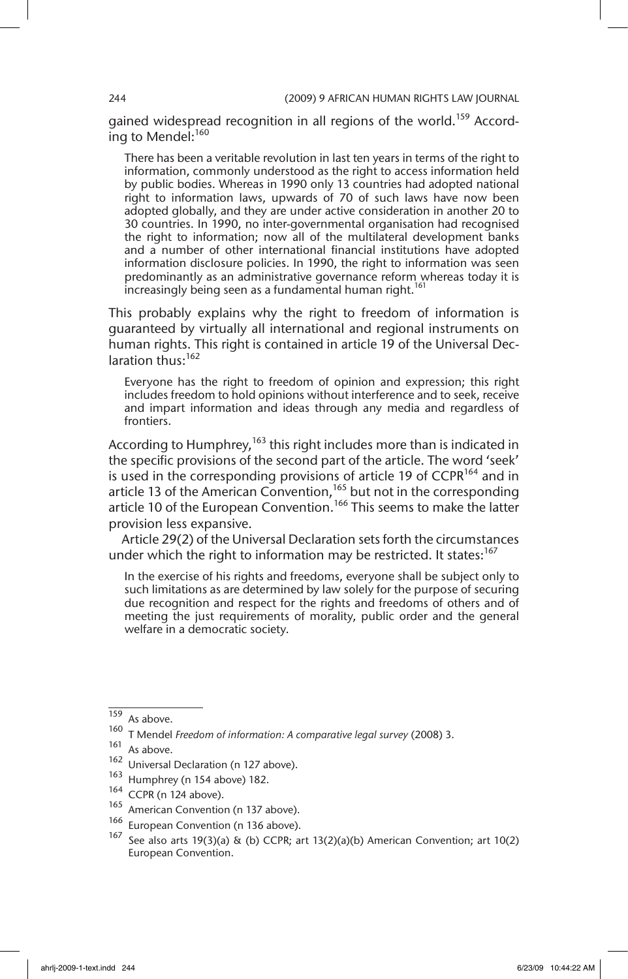gained widespread recognition in all regions of the world.<sup>159</sup> According to Mendel:<sup>160</sup>

There has been a veritable revolution in last ten years in terms of the right to information, commonly understood as the right to access information held by public bodies. Whereas in 1990 only 13 countries had adopted national right to information laws, upwards of 70 of such laws have now been adopted globally, and they are under active consideration in another 20 to 30 countries. In 1990, no inter-governmental organisation had recognised the right to information; now all of the multilateral development banks and a number of other international financial institutions have adopted information disclosure policies. In 1990, the right to information was seen predominantly as an administrative governance reform whereas today it is increasingly being seen as a fundamental human right.<sup>161</sup>

This probably explains why the right to freedom of information is guaranteed by virtually all international and regional instruments on human rights. This right is contained in article 19 of the Universal Declaration thus:<sup>162</sup>

Everyone has the right to freedom of opinion and expression; this right includes freedom to hold opinions without interference and to seek, receive and impart information and ideas through any media and regardless of frontiers.

According to Humphrey,  $163$  this right includes more than is indicated in the specific provisions of the second part of the article. The word 'seek' is used in the corresponding provisions of article 19 of  $CCPR^{164}$  and in article 13 of the American Convention,  $165$  but not in the corresponding article 10 of the European Convention.<sup>166</sup> This seems to make the latter provision less expansive.

Article 29(2) of the Universal Declaration sets forth the circumstances under which the right to information may be restricted. It states:<sup>167</sup>

In the exercise of his rights and freedoms, everyone shall be subject only to such limitations as are determined by law solely for the purpose of securing due recognition and respect for the rights and freedoms of others and of meeting the just requirements of morality, public order and the general welfare in a democratic society.

- $^{163}$  Humphrey (n 154 above) 182.
- $^{164}$  CCPR (n 124 above).
- <sup>165</sup> American Convention (n 137 above).<br><sup>166</sup> Eusepan Convention (n 136 above).
- European Convention (n 136 above).

<sup>159</sup> As above.

<sup>160</sup> T Mendel *Freedom of information: A comparative legal survey* (2008) 3.

As above.

<sup>162</sup> Universal Declaration (n 127 above).

See also arts 19(3)(a) & (b) CCPR; art 13(2)(a)(b) American Convention; art 10(2) European Convention.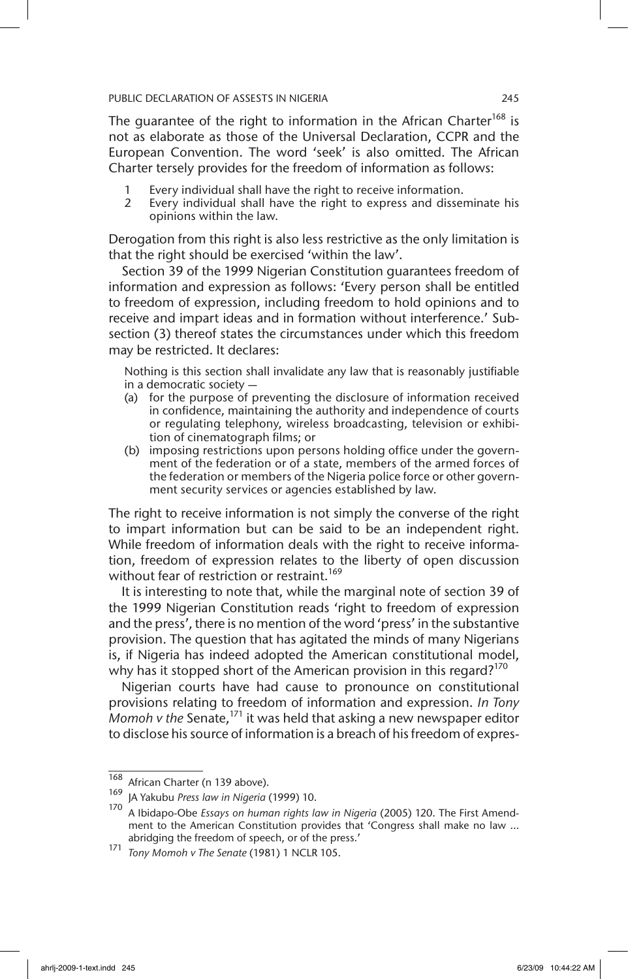The guarantee of the right to information in the African Charter<sup>168</sup> is not as elaborate as those of the Universal Declaration, CCPR and the European Convention. The word 'seek' is also omitted. The African Charter tersely provides for the freedom of information as follows:

- 1 Every individual shall have the right to receive information.
- 2 Every individual shall have the right to express and disseminate his opinions within the law.

Derogation from this right is also less restrictive as the only limitation is that the right should be exercised 'within the law'.

Section 39 of the 1999 Nigerian Constitution guarantees freedom of information and expression as follows: 'Every person shall be entitled to freedom of expression, including freedom to hold opinions and to receive and impart ideas and in formation without interference.' Subsection (3) thereof states the circumstances under which this freedom may be restricted. It declares:

Nothing is this section shall invalidate any law that is reasonably justifiable in a democratic society —

- (a) for the purpose of preventing the disclosure of information received in confidence, maintaining the authority and independence of courts or regulating telephony, wireless broadcasting, television or exhibition of cinematograph films; or
- (b) imposing restrictions upon persons holding office under the government of the federation or of a state, members of the armed forces of the federation or members of the Nigeria police force or other government security services or agencies established by law.

The right to receive information is not simply the converse of the right to impart information but can be said to be an independent right. While freedom of information deals with the right to receive information, freedom of expression relates to the liberty of open discussion without fear of restriction or restraint.<sup>169</sup>

It is interesting to note that, while the marginal note of section 39 of the 1999 Nigerian Constitution reads 'right to freedom of expression and the press', there is no mention of the word 'press' in the substantive provision. The question that has agitated the minds of many Nigerians is, if Nigeria has indeed adopted the American constitutional model, why has it stopped short of the American provision in this regard?<sup>170</sup>

Nigerian courts have had cause to pronounce on constitutional provisions relating to freedom of information and expression. *In Tony Momoh v the* Senate,171 it was held that asking a new newspaper editor to disclose his source of information is a breach of his freedom of expres-

 $\frac{168}{169}$  African Charter (n 139 above).

<sup>169</sup> JA Yakubu *Press law in Nigeria* (1999) 10.

<sup>170</sup> A Ibidapo-Obe *Essays on human rights law in Nigeria* (2005) 120. The First Amendment to the American Constitution provides that 'Congress shall make no law … abridging the freedom of speech, or of the press.'

<sup>171</sup> *Tony Momoh v The Senate* (1981) 1 NCLR 105.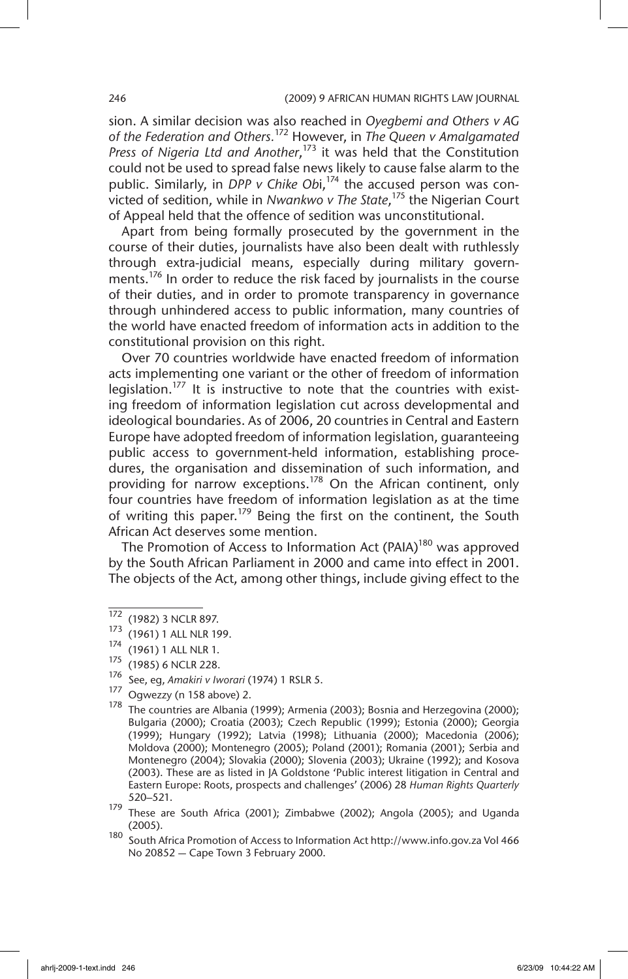sion. A similar decision was also reached in *Oyegbemi and Others v AG of the Federation and Others.*172 However, in *The Queen v Amalgamated Press of Nigeria Ltd and Another*, 173 it was held that the Constitution could not be used to spread false news likely to cause false alarm to the public. Similarly, in DPP v Chike Obi,<sup>174</sup> the accused person was convicted of sedition, while in *Nwankwo v The State*, 175 the Nigerian Court of Appeal held that the offence of sedition was unconstitutional.

Apart from being formally prosecuted by the government in the course of their duties, journalists have also been dealt with ruthlessly through extra-judicial means, especially during military governments.<sup>176</sup> In order to reduce the risk faced by journalists in the course of their duties, and in order to promote transparency in governance through unhindered access to public information, many countries of the world have enacted freedom of information acts in addition to the constitutional provision on this right.

Over 70 countries worldwide have enacted freedom of information acts implementing one variant or the other of freedom of information legislation.<sup>177</sup> It is instructive to note that the countries with existing freedom of information legislation cut across developmental and ideological boundaries. As of 2006, 20 countries in Central and Eastern Europe have adopted freedom of information legislation, guaranteeing public access to government-held information, establishing procedures, the organisation and dissemination of such information, and providing for narrow exceptions.<sup>178</sup> On the African continent, only four countries have freedom of information legislation as at the time of writing this paper.<sup>179</sup> Being the first on the continent, the South African Act deserves some mention.

The Promotion of Access to Information Act (PAIA)<sup>180</sup> was approved by the South African Parliament in 2000 and came into effect in 2001. The objects of the Act, among other things, include giving effect to the

 $\frac{172}{173}$  (1982) 3 NCLR 897.

 $\frac{1}{3}$  (1961) 1 ALL NLR 199.

 $\frac{1}{4}$  (1961) 1 ALL NLR 1.

<sup>(1985) 6</sup> NCLR 228.

<sup>176</sup> See, eg, *Amakiri v Iworari* (1974) 1 RSLR 5.

<sup>177</sup> Ogwezzy (n 158 above) 2.

 $178$  The countries are Albania (1999); Armenia (2003); Bosnia and Herzegovina (2000); Bulgaria (2000); Croatia (2003); Czech Republic (1999); Estonia (2000); Georgia (1999); Hungary (1992); Latvia (1998); Lithuania (2000); Macedonia (2006); Moldova (2000); Montenegro (2005); Poland (2001); Romania (2001); Serbia and Montenegro (2004); Slovakia (2000); Slovenia (2003); Ukraine (1992); and Kosova (2003). These are as listed in JA Goldstone 'Public interest litigation in Central and Eastern Europe: Roots, prospects and challenges' (2006) 28 *Human Rights Quarterly*  520–521.

<sup>179</sup> These are South Africa (2001); Zimbabwe (2002); Angola (2005); and Uganda (2005).

<sup>180</sup> South Africa Promotion of Access to Information Act http://www.info.gov.za Vol 466 No 20852 — Cape Town 3 February 2000.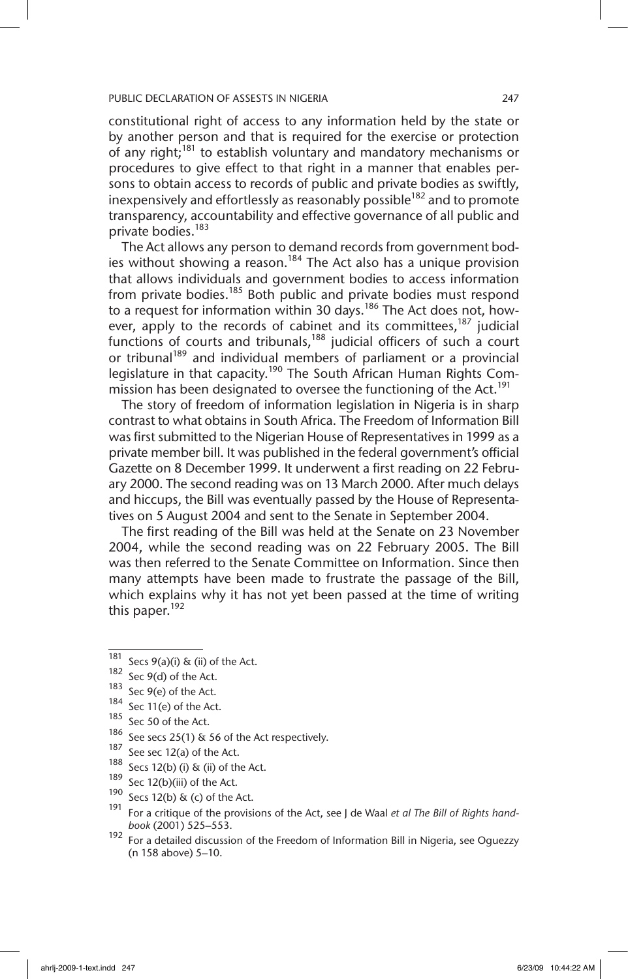constitutional right of access to any information held by the state or by another person and that is required for the exercise or protection of any right;<sup>181</sup> to establish voluntary and mandatory mechanisms or procedures to give effect to that right in a manner that enables persons to obtain access to records of public and private bodies as swiftly, inexpensively and effortlessly as reasonably possible<sup>182</sup> and to promote transparency, accountability and effective governance of all public and private bodies.<sup>183</sup>

The Act allows any person to demand records from government bodies without showing a reason.<sup>184</sup> The Act also has a unique provision that allows individuals and government bodies to access information from private bodies.<sup>185</sup> Both public and private bodies must respond to a request for information within 30 days.<sup>186</sup> The Act does not, however, apply to the records of cabinet and its committees,<sup>187</sup> judicial functions of courts and tribunals, $188$  judicial officers of such a court or tribunal<sup>189</sup> and individual members of parliament or a provincial legislature in that capacity.<sup>190</sup> The South African Human Rights Commission has been designated to oversee the functioning of the Act.<sup>191</sup>

The story of freedom of information legislation in Nigeria is in sharp contrast to what obtains in South Africa. The Freedom of Information Bill was first submitted to the Nigerian House of Representatives in 1999 as a private member bill. It was published in the federal government's official Gazette on 8 December 1999. It underwent a first reading on 22 February 2000. The second reading was on 13 March 2000. After much delays and hiccups, the Bill was eventually passed by the House of Representatives on 5 August 2004 and sent to the Senate in September 2004.

The first reading of the Bill was held at the Senate on 23 November 2004, while the second reading was on 22 February 2005. The Bill was then referred to the Senate Committee on Information. Since then many attempts have been made to frustrate the passage of the Bill, which explains why it has not yet been passed at the time of writing this paper.<sup>192</sup>

- $186$  See secs 25(1) & 56 of the Act respectively.
- $187$  See sec 12(a) of the Act.
- $188$  Secs 12(b) (i) & (ii) of the Act.
- $189$  Sec 12(b)(iii) of the Act.
- 190 Secs 12(b) & (c) of the Act.
- <sup>191</sup> For a critique of the provisions of the Act, see J de Waal *et al The Bill of Rights handbook* (2001) 525–553.
- 192 For a detailed discussion of the Freedom of Information Bill in Nigeria, see Oguezzy (n 158 above) 5–10.

 $181$  Secs 9(a)(i) & (ii) of the Act.

<sup>182</sup> Sec 9(d) of the Act.

 $183$  Sec 9(e) of the Act.

 $184$  Sec 11(e) of the Act.

<sup>185</sup> Sec 50 of the Act.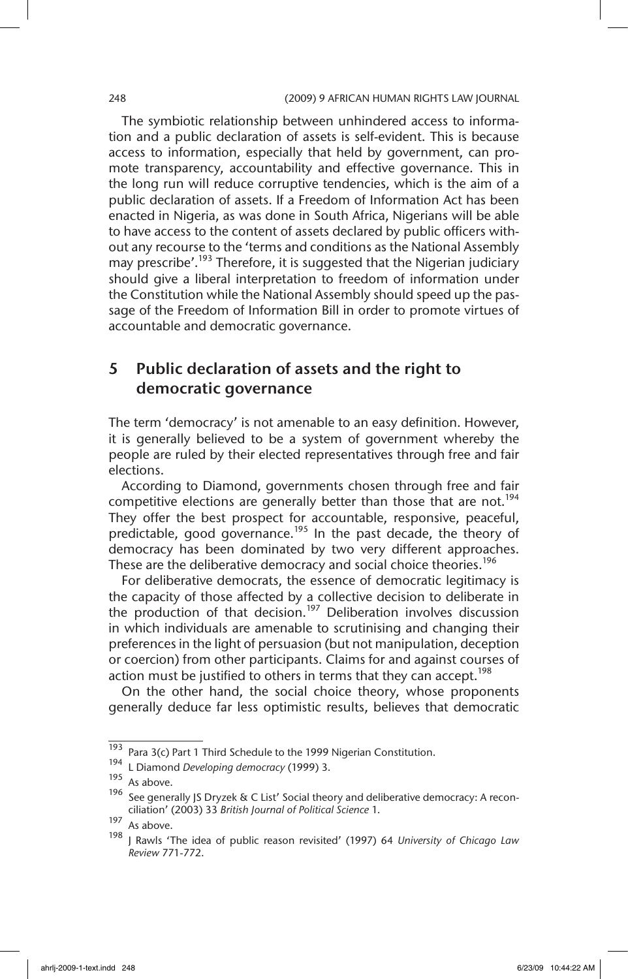The symbiotic relationship between unhindered access to information and a public declaration of assets is self-evident. This is because access to information, especially that held by government, can promote transparency, accountability and effective governance. This in the long run will reduce corruptive tendencies, which is the aim of a public declaration of assets. If a Freedom of Information Act has been enacted in Nigeria, as was done in South Africa, Nigerians will be able to have access to the content of assets declared by public officers without any recourse to the 'terms and conditions as the National Assembly may prescribe'.<sup>193</sup> Therefore, it is suggested that the Nigerian judiciary should give a liberal interpretation to freedom of information under the Constitution while the National Assembly should speed up the passage of the Freedom of Information Bill in order to promote virtues of accountable and democratic governance.

## 5 Public declaration of assets and the right to democratic governance

The term 'democracy' is not amenable to an easy definition. However, it is generally believed to be a system of government whereby the people are ruled by their elected representatives through free and fair elections.

According to Diamond, governments chosen through free and fair competitive elections are generally better than those that are not.<sup>194</sup> They offer the best prospect for accountable, responsive, peaceful, predictable, good governance.<sup>195</sup> In the past decade, the theory of democracy has been dominated by two very different approaches. These are the deliberative democracy and social choice theories.<sup>196</sup>

For deliberative democrats, the essence of democratic legitimacy is the capacity of those affected by a collective decision to deliberate in the production of that decision.<sup>197</sup> Deliberation involves discussion in which individuals are amenable to scrutinising and changing their preferences in the light of persuasion (but not manipulation, deception or coercion) from other participants. Claims for and against courses of action must be justified to others in terms that they can accept.<sup>198</sup>

On the other hand, the social choice theory, whose proponents generally deduce far less optimistic results, believes that democratic

<sup>&</sup>lt;sup>193</sup> Para 3(c) Part 1 Third Schedule to the 1999 Nigerian Constitution.

<sup>194</sup> L Diamond *Developing democracy* (1999) 3.

 $195$  As above.

<sup>&</sup>lt;sup>196</sup> See generally JS Dryzek & C List' Social theory and deliberative democracy: A reconciliation' (2003) 33 *British Journal of Political Science* 1.

 $197$  As above.

<sup>198</sup> J Rawls 'The idea of public reason revisited' (1997) 64 *University of Chicago Law Review* 771-772.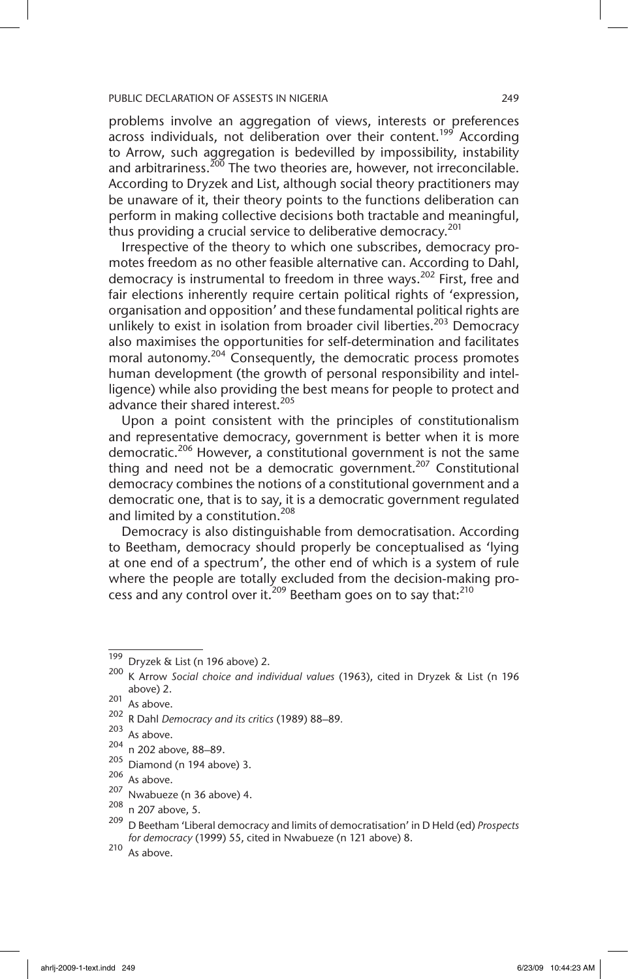problems involve an aggregation of views, interests or preferences across individuals, not deliberation over their content.<sup>199</sup> According to Arrow, such aggregation is bedevilled by impossibility, instability and arbitrariness.<sup>200</sup> The two theories are, however, not irreconcilable. According to Dryzek and List, although social theory practitioners may be unaware of it, their theory points to the functions deliberation can perform in making collective decisions both tractable and meaningful, thus providing a crucial service to deliberative democracy.<sup>201</sup>

Irrespective of the theory to which one subscribes, democracy promotes freedom as no other feasible alternative can. According to Dahl, democracy is instrumental to freedom in three ways.<sup>202</sup> First, free and fair elections inherently require certain political rights of 'expression, organisation and opposition' and these fundamental political rights are unlikely to exist in isolation from broader civil liberties.<sup>203</sup> Democracy also maximises the opportunities for self-determination and facilitates moral autonomy.<sup>204</sup> Consequently, the democratic process promotes human development (the growth of personal responsibility and intelligence) while also providing the best means for people to protect and advance their shared interest.<sup>205</sup>

Upon a point consistent with the principles of constitutionalism and representative democracy, government is better when it is more democratic.<sup>206</sup> However, a constitutional government is not the same thing and need not be a democratic government.<sup>207</sup> Constitutional democracy combines the notions of a constitutional government and a democratic one, that is to say, it is a democratic government regulated and limited by a constitution.<sup>208</sup>

Democracy is also distinguishable from democratisation. According to Beetham, democracy should properly be conceptualised as 'lying at one end of a spectrum', the other end of which is a system of rule where the people are totally excluded from the decision-making process and any control over it.<sup>209</sup> Beetham goes on to say that:<sup>210</sup>

 $\overline{199}$  Dryzek & List (n 196 above) 2.

<sup>200</sup> K Arrow *Social choice and individual values* (1963), cited in Dryzek & List (n 196 above) 2.

 $201$  As above.

<sup>202</sup> R Dahl *Democracy and its critics* (1989) 88–89*.* 

<sup>203</sup> As above.

<sup>204</sup> n 202 above, 88–89.

 $205$  Diamond (n 194 above) 3.

 $\frac{206}{207}$  As above.

 $^{207}$  Nwabueze (n 36 above) 4.<br> $^{208}$  n 307 above 5

n 207 above, 5.

<sup>209</sup> D Beetham 'Liberal democracy and limits of democratisation' in D Held (ed) *Prospects for democracy* (1999) 55, cited in Nwabueze (n 121 above) 8.

<sup>210</sup> As above.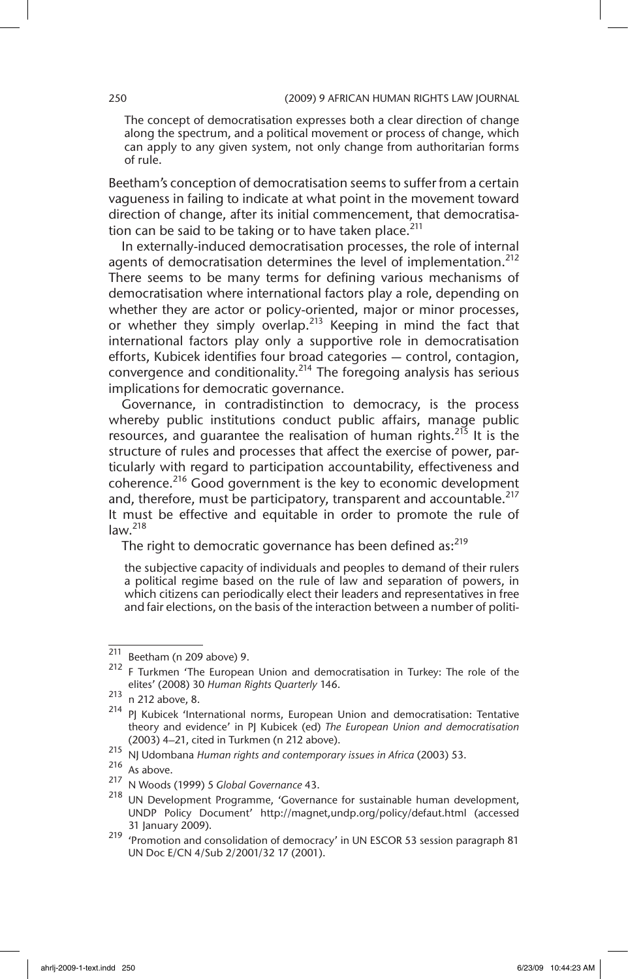The concept of democratisation expresses both a clear direction of change along the spectrum, and a political movement or process of change, which can apply to any given system, not only change from authoritarian forms of rule.

Beetham's conception of democratisation seems to suffer from a certain vagueness in failing to indicate at what point in the movement toward direction of change, after its initial commencement, that democratisation can be said to be taking or to have taken place. $^{211}$ 

In externally-induced democratisation processes, the role of internal agents of democratisation determines the level of implementation.<sup>212</sup> There seems to be many terms for defining various mechanisms of democratisation where international factors play a role, depending on whether they are actor or policy-oriented, major or minor processes, or whether they simply overlap.<sup>213</sup> Keeping in mind the fact that international factors play only a supportive role in democratisation efforts, Kubicek identifies four broad categories — control, contagion, convergence and conditionality.214 The foregoing analysis has serious implications for democratic governance.

Governance, in contradistinction to democracy, is the process whereby public institutions conduct public affairs, manage public resources, and quarantee the realisation of human rights.<sup>215</sup> It is the structure of rules and processes that affect the exercise of power, particularly with regard to participation accountability, effectiveness and coherence.216 Good government is the key to economic development and, therefore, must be participatory, transparent and accountable.<sup>217</sup> It must be effective and equitable in order to promote the rule of  $law.<sup>218</sup>$ 

The right to democratic governance has been defined  $as:^{219}$ 

the subjective capacity of individuals and peoples to demand of their rulers a political regime based on the rule of law and separation of powers, in which citizens can periodically elect their leaders and representatives in free and fair elections, on the basis of the interaction between a number of politi-

 $\frac{211}{212}$  Beetham (n 209 above) 9.

F Turkmen 'The European Union and democratisation in Turkey: The role of the elites' (2008) 30 *Human Rights Quarterly* 146.

<sup>213</sup> n 212 above, 8.

<sup>&</sup>lt;sup>214</sup> PJ Kubicek 'International norms, European Union and democratisation: Tentative theory and evidence' in PJ Kubicek (ed) *The European Union and democratisation*  (2003) 4–21, cited in Turkmen (n 212 above).

<sup>215</sup> NJ Udombana *Human rights and contemporary issues in Africa* (2003) 53.

<sup>216</sup> As above.

<sup>217</sup> N Woods (1999) 5 *Global Governance* 43.

<sup>&</sup>lt;sup>218</sup> UN Development Programme, 'Governance for sustainable human development, UNDP Policy Document' http://magnet,undp.org/policy/defaut.html (accessed 31 January 2009).

<sup>219</sup> 'Promotion and consolidation of democracy' in UN ESCOR 53 session paragraph 81 UN Doc E/CN 4/Sub 2/2001/32 17 (2001).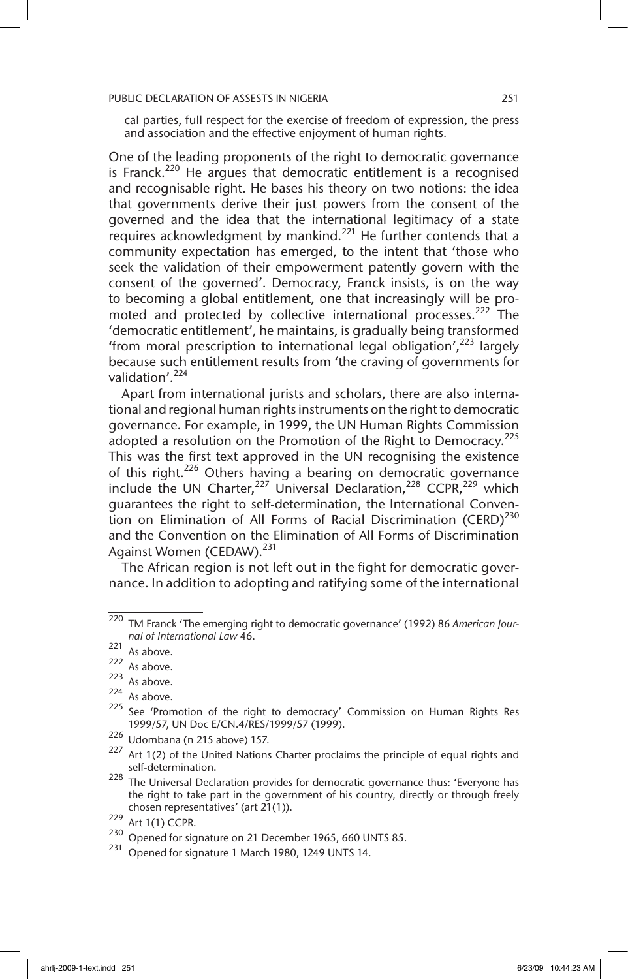cal parties, full respect for the exercise of freedom of expression, the press and association and the effective enjoyment of human rights.

One of the leading proponents of the right to democratic governance is Franck.<sup>220</sup> He argues that democratic entitlement is a recognised and recognisable right. He bases his theory on two notions: the idea that governments derive their just powers from the consent of the governed and the idea that the international legitimacy of a state requires acknowledgment by mankind.<sup>221</sup> He further contends that a community expectation has emerged, to the intent that 'those who seek the validation of their empowerment patently govern with the consent of the governed'. Democracy, Franck insists, is on the way to becoming a global entitlement, one that increasingly will be promoted and protected by collective international processes.<sup>222</sup> The 'democratic entitlement', he maintains, is gradually being transformed 'from moral prescription to international legal obligation',223 largely because such entitlement results from 'the craving of governments for validation'.<sup>224</sup>

Apart from international jurists and scholars, there are also international and regional human rights instruments on the right to democratic governance. For example, in 1999, the UN Human Rights Commission adopted a resolution on the Promotion of the Right to Democracy. $225$ This was the first text approved in the UN recognising the existence of this right.<sup>226</sup> Others having a bearing on democratic governance include the UN Charter,  $227$  Universal Declaration,  $228$  CCPR,  $229$  which guarantees the right to self-determination, the International Convention on Elimination of All Forms of Racial Discrimination (CERD)<sup>230</sup> and the Convention on the Elimination of All Forms of Discrimination Against Women (CEDAW).<sup>231</sup>

The African region is not left out in the fight for democratic governance. In addition to adopting and ratifying some of the international

<sup>220</sup> TM Franck 'The emerging right to democratic governance' (1992) 86 *American Journal of International Law* 46.

 $221$  As above.

 $222$  As above.

 $223$  As above.

 $\frac{224}{225}$  As above.

See 'Promotion of the right to democracy' Commission on Human Rights Res 1999/57, UN Doc E/CN.4/RES/1999/57 (1999).

<sup>226</sup> Udombana (n 215 above) 157.

 $227$  Art 1(2) of the United Nations Charter proclaims the principle of equal rights and self-determination.

<sup>228</sup> The Universal Declaration provides for democratic governance thus: 'Everyone has the right to take part in the government of his country, directly or through freely chosen representatives' (art 21(1)).

 $^{229}$  Art 1(1) CCPR.

Opened for signature on 21 December 1965, 660 UNTS 85.

<sup>231</sup> Opened for signature 1 March 1980, 1249 UNTS 14.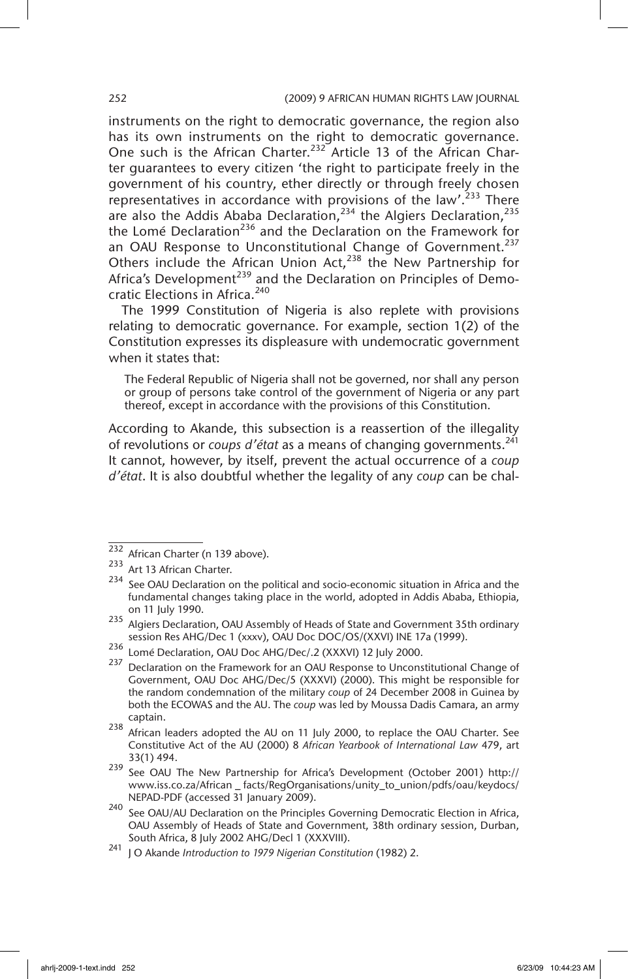instruments on the right to democratic governance, the region also has its own instruments on the right to democratic governance. One such is the African Charter.232 Article 13 of the African Charter guarantees to every citizen 'the right to participate freely in the government of his country, ether directly or through freely chosen representatives in accordance with provisions of the law'. $233$  There are also the Addis Ababa Declaration,  $234$  the Algiers Declaration,  $235$ the Lomé Declaration<sup>236</sup> and the Declaration on the Framework for an OAU Response to Unconstitutional Change of Government.<sup>237</sup> Others include the African Union Act,<sup>238</sup> the New Partnership for Africa's Development<sup>239</sup> and the Declaration on Principles of Democratic Elections in Africa.<sup>240</sup>

The 1999 Constitution of Nigeria is also replete with provisions relating to democratic governance. For example, section 1(2) of the Constitution expresses its displeasure with undemocratic government when it states that:

The Federal Republic of Nigeria shall not be governed, nor shall any person or group of persons take control of the government of Nigeria or any part thereof, except in accordance with the provisions of this Constitution.

According to Akande, this subsection is a reassertion of the illegality of revolutions or *coups d'état* as a means of changing governments.<sup>241</sup> It cannot, however, by itself, prevent the actual occurrence of a *coup d'état*. It is also doubtful whether the legality of any *coup* can be chal-

 $\overline{232}$  African Charter (n 139 above).

<sup>233</sup> Art 13 African Charter.

See OAU Declaration on the political and socio-economic situation in Africa and the fundamental changes taking place in the world, adopted in Addis Ababa, Ethiopia, on 11 July 1990.

<sup>235</sup> Algiers Declaration, OAU Assembly of Heads of State and Government 35th ordinary session Res AHG/Dec 1 (xxxv), OAU Doc DOC/OS/(XXVI) INE 17a (1999).

<sup>236</sup> Lomé Declaration, OAU Doc AHG/Dec/.2 (XXXVI) 12 July 2000.

<sup>&</sup>lt;sup>237</sup> Declaration on the Framework for an OAU Response to Unconstitutional Change of Government, OAU Doc AHG/Dec/5 (XXXVI) (2000). This might be responsible for the random condemnation of the military *coup* of 24 December 2008 in Guinea by both the ECOWAS and the AU. The *coup* was led by Moussa Dadis Camara, an army captain.

 $238$  African leaders adopted the AU on 11 July 2000, to replace the OAU Charter. See Constitutive Act of the AU (2000) 8 *African Yearbook of International Law* 479, art 33(1) 494.

<sup>239</sup> See OAU The New Partnership for Africa's Development (October 2001) http:// www.iss.co.za/African \_ facts/RegOrganisations/unity\_to\_union/pdfs/oau/keydocs/ NEPAD-PDF (accessed 31 January 2009).

 $240$  See OAU/AU Declaration on the Principles Governing Democratic Election in Africa, OAU Assembly of Heads of State and Government, 38th ordinary session, Durban, South Africa, 8 July 2002 AHG/Decl 1 (XXXVIII).

<sup>241</sup> J O Akande *Introduction to 1979 Nigerian Constitution* (1982) 2.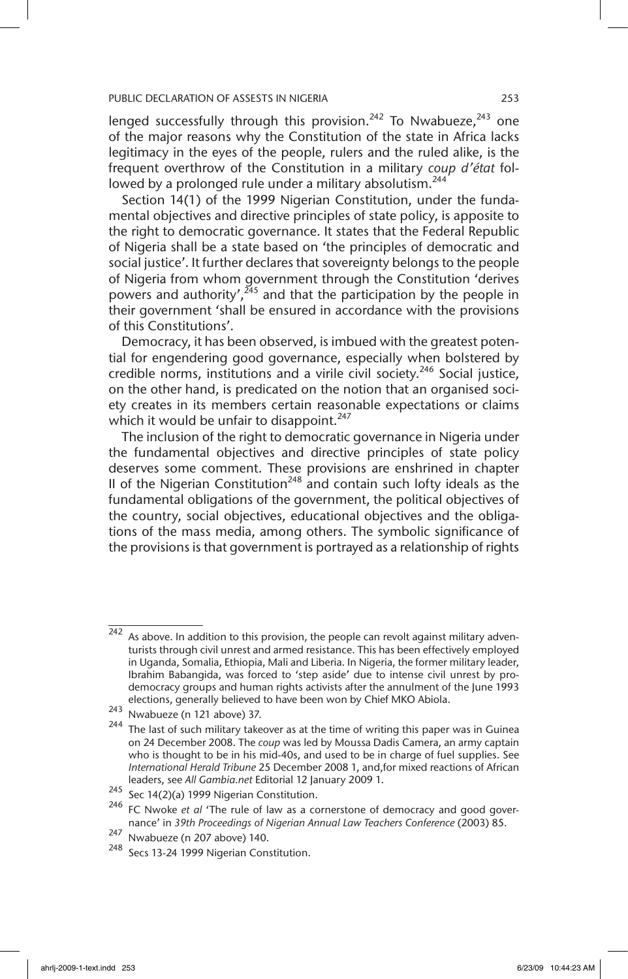lenged successfully through this provision.<sup>242</sup> To Nwabueze,<sup>243</sup> one of the major reasons why the Constitution of the state in Africa lacks legitimacy in the eyes of the people, rulers and the ruled alike, is the frequent overthrow of the Constitution in a military *coup d'état* followed by a prolonged rule under a military absolutism.<sup>244</sup>

Section 14(1) of the 1999 Nigerian Constitution, under the fundamental objectives and directive principles of state policy, is apposite to the right to democratic governance. It states that the Federal Republic of Nigeria shall be a state based on 'the principles of democratic and social justice'. It further declares that sovereignty belongs to the people of Nigeria from whom government through the Constitution 'derives powers and authority',  $245$  and that the participation by the people in their government 'shall be ensured in accordance with the provisions of this Constitutions'.

Democracy, it has been observed, is imbued with the greatest potential for engendering good governance, especially when bolstered by credible norms, institutions and a virile civil society.<sup>246</sup> Social justice, on the other hand, is predicated on the notion that an organised society creates in its members certain reasonable expectations or claims which it would be unfair to disappoint.<sup>247</sup>

The inclusion of the right to democratic governance in Nigeria under the fundamental objectives and directive principles of state policy deserves some comment. These provisions are enshrined in chapter II of the Nigerian Constitution<sup>248</sup> and contain such lofty ideals as the fundamental obligations of the government, the political objectives of the country, social objectives, educational objectives and the obligations of the mass media, among others. The symbolic significance of the provisions is that government is portrayed as a relationship of rights

 $\frac{1}{242}$  As above. In addition to this provision, the people can revolt against military adventurists through civil unrest and armed resistance. This has been effectively employed in Uganda, Somalia, Ethiopia, Mali and Liberia. In Nigeria, the former military leader, Ibrahim Babangida, was forced to 'step aside' due to intense civil unrest by prodemocracy groups and human rights activists after the annulment of the June 1993 elections, generally believed to have been won by Chief MKO Abiola.

<sup>243</sup> Nwabueze (n 121 above) 37.

 $244$  The last of such military takeover as at the time of writing this paper was in Guinea on 24 December 2008. The *coup* was led by Moussa Dadis Camera, an army captain who is thought to be in his mid-40s, and used to be in charge of fuel supplies. See *International Herald Tribune* 25 December 2008 1, and,for mixed reactions of African leaders, see *All Gambia.net* Editorial 12 January 2009 1.

<sup>245</sup> Sec 14(2)(a) 1999 Nigerian Constitution.

<sup>246</sup> FC Nwoke *et al* 'The rule of law as a cornerstone of democracy and good governance' in *39th Proceedings of Nigerian Annual Law Teachers Conference* (2003) 85.

 $\frac{247}{248}$  Nwabueze (n 207 above) 140.

Secs 13-24 1999 Nigerian Constitution.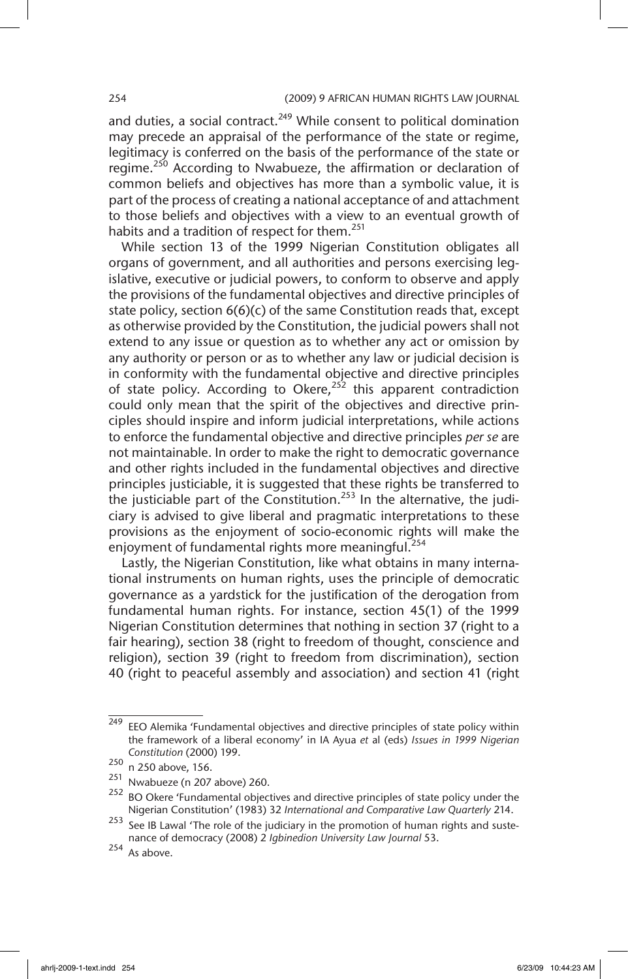and duties, a social contract. $249$  While consent to political domination may precede an appraisal of the performance of the state or regime, legitimacy is conferred on the basis of the performance of the state or regime.<sup>250</sup> According to Nwabueze, the affirmation or declaration of common beliefs and objectives has more than a symbolic value, it is part of the process of creating a national acceptance of and attachment to those beliefs and objectives with a view to an eventual growth of habits and a tradition of respect for them.<sup>251</sup>

While section 13 of the 1999 Nigerian Constitution obligates all organs of government, and all authorities and persons exercising legislative, executive or judicial powers, to conform to observe and apply the provisions of the fundamental objectives and directive principles of state policy, section 6(6)(c) of the same Constitution reads that, except as otherwise provided by the Constitution, the judicial powers shall not extend to any issue or question as to whether any act or omission by any authority or person or as to whether any law or judicial decision is in conformity with the fundamental objective and directive principles of state policy. According to Okere,<sup>252</sup> this apparent contradiction could only mean that the spirit of the objectives and directive principles should inspire and inform judicial interpretations, while actions to enforce the fundamental objective and directive principles *per se* are not maintainable. In order to make the right to democratic governance and other rights included in the fundamental objectives and directive principles justiciable, it is suggested that these rights be transferred to the justiciable part of the Constitution.<sup>253</sup> In the alternative, the judiciary is advised to give liberal and pragmatic interpretations to these provisions as the enjoyment of socio-economic rights will make the enjoyment of fundamental rights more meaningful.<sup>254</sup>

Lastly, the Nigerian Constitution, like what obtains in many international instruments on human rights, uses the principle of democratic governance as a yardstick for the justification of the derogation from fundamental human rights. For instance, section 45(1) of the 1999 Nigerian Constitution determines that nothing in section 37 (right to a fair hearing), section 38 (right to freedom of thought, conscience and religion), section 39 (right to freedom from discrimination), section 40 (right to peaceful assembly and association) and section 41 (right

<sup>&</sup>lt;sup>249</sup> EEO Alemika 'Fundamental objectives and directive principles of state policy within the framework of a liberal economy' in IA Ayua *et* al (eds) *Issues in 1999 Nigerian Constitution* (2000) 199.

 $\frac{250}{251}$  n 250 above, 156.

Nwabueze (n 207 above) 260.

 $252$  BO Okere 'Fundamental objectives and directive principles of state policy under the Nigerian Constitution' (1983) 32 *International and Comparative Law Quarterly* 214.

<sup>&</sup>lt;sup>253</sup> See IB Lawal 'The role of the judiciary in the promotion of human rights and sustenance of democracy (2008) 2 *Igbinedion University Law Journal* 53.

<sup>254</sup> As above.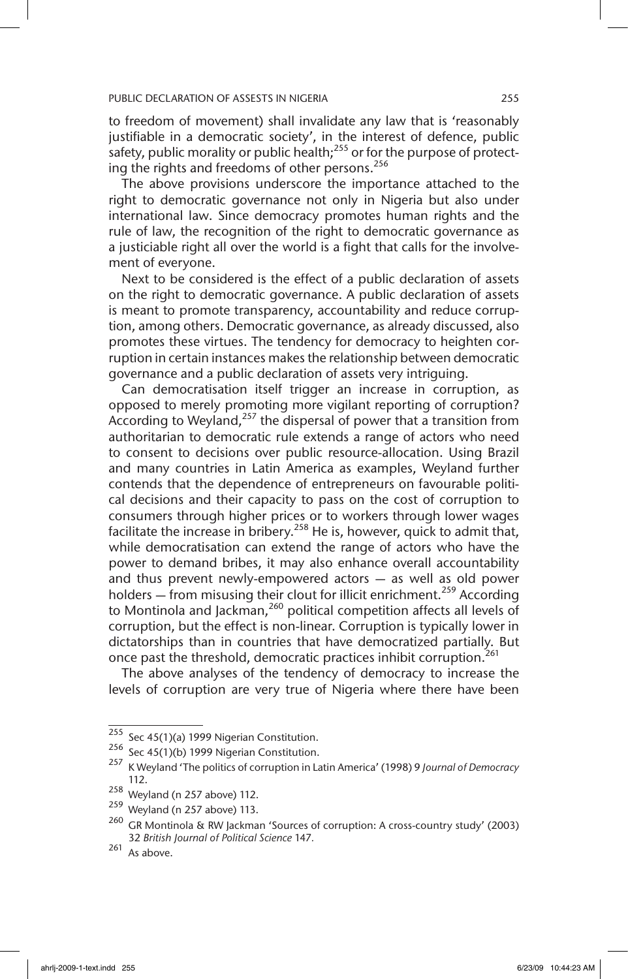to freedom of movement) shall invalidate any law that is 'reasonably justifiable in a democratic society', in the interest of defence, public safety, public morality or public health;<sup>255</sup> or for the purpose of protecting the rights and freedoms of other persons.<sup>256</sup>

The above provisions underscore the importance attached to the right to democratic governance not only in Nigeria but also under international law. Since democracy promotes human rights and the rule of law, the recognition of the right to democratic governance as a justiciable right all over the world is a fight that calls for the involvement of everyone.

Next to be considered is the effect of a public declaration of assets on the right to democratic governance. A public declaration of assets is meant to promote transparency, accountability and reduce corruption, among others. Democratic governance, as already discussed, also promotes these virtues. The tendency for democracy to heighten corruption in certain instances makes the relationship between democratic governance and a public declaration of assets very intriguing.

Can democratisation itself trigger an increase in corruption, as opposed to merely promoting more vigilant reporting of corruption? According to Weyland,<sup>257</sup> the dispersal of power that a transition from authoritarian to democratic rule extends a range of actors who need to consent to decisions over public resource-allocation. Using Brazil and many countries in Latin America as examples, Weyland further contends that the dependence of entrepreneurs on favourable political decisions and their capacity to pass on the cost of corruption to consumers through higher prices or to workers through lower wages facilitate the increase in bribery.<sup>258</sup> He is, however, quick to admit that, while democratisation can extend the range of actors who have the power to demand bribes, it may also enhance overall accountability and thus prevent newly-empowered actors — as well as old power holders  $-$  from misusing their clout for illicit enrichment.<sup>259</sup> According to Montinola and Jackman,<sup>260</sup> political competition affects all levels of corruption, but the effect is non-linear. Corruption is typically lower in dictatorships than in countries that have democratized partially. But once past the threshold, democratic practices inhibit corruption.<sup>261</sup>

The above analyses of the tendency of democracy to increase the levels of corruption are very true of Nigeria where there have been

 $255$  Sec 45(1)(a) 1999 Nigerian Constitution.

 $256$  Sec 45(1)(b) 1999 Nigerian Constitution.

<sup>257</sup> K Weyland 'The politics of corruption in Latin America' (1998) 9 *Journal of Democracy*  112.

<sup>258</sup> Weyland (n 257 above) 112.

 $259$  Weyland (n 257 above) 113.

<sup>260</sup> GR Montinola & RW Jackman 'Sources of corruption: A cross-country study' (2003) 32 *British Journal of Political Science* 147*.*

 $261$  As above.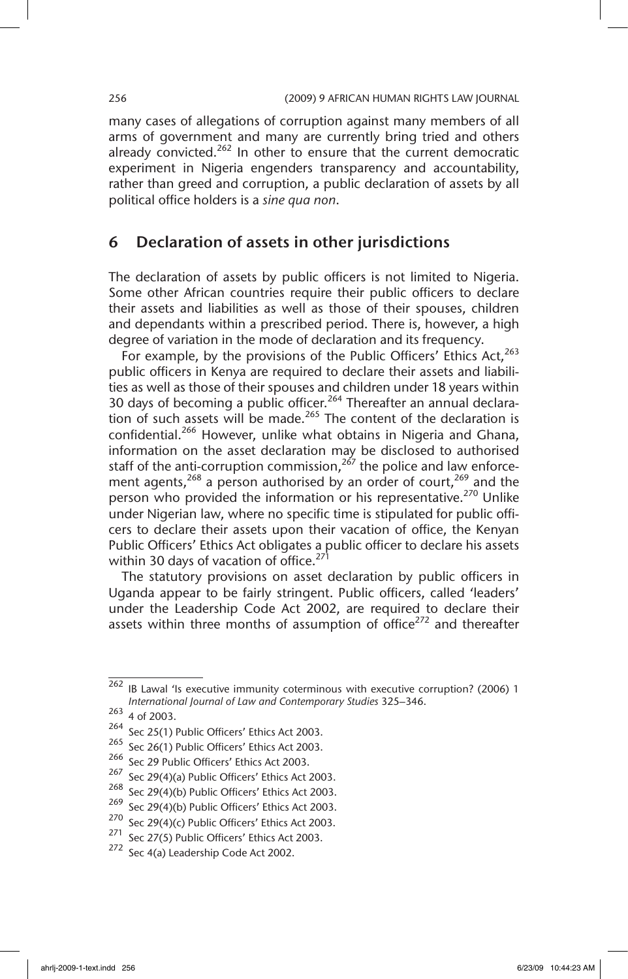many cases of allegations of corruption against many members of all arms of government and many are currently bring tried and others already convicted. $262$  In other to ensure that the current democratic experiment in Nigeria engenders transparency and accountability, rather than greed and corruption, a public declaration of assets by all political office holders is a *sine qua non*.

## 6 Declaration of assets in other jurisdictions

The declaration of assets by public officers is not limited to Nigeria. Some other African countries require their public officers to declare their assets and liabilities as well as those of their spouses, children and dependants within a prescribed period. There is, however, a high degree of variation in the mode of declaration and its frequency.

For example, by the provisions of the Public Officers' Ethics Act,<sup>263</sup> public officers in Kenya are required to declare their assets and liabilities as well as those of their spouses and children under 18 years within 30 days of becoming a public officer.<sup>264</sup> Thereafter an annual declaration of such assets will be made.<sup>265</sup> The content of the declaration is confidential.<sup>266</sup> However, unlike what obtains in Nigeria and Ghana, information on the asset declaration may be disclosed to authorised staff of the anti-corruption commission, $2^{67}$  the police and law enforcement agents,<sup>268</sup> a person authorised by an order of court,<sup>269</sup> and the person who provided the information or his representative.<sup>270</sup> Unlike under Nigerian law, where no specific time is stipulated for public officers to declare their assets upon their vacation of office, the Kenyan Public Officers' Ethics Act obligates a public officer to declare his assets within 30 days of vacation of office. $27$ 

The statutory provisions on asset declaration by public officers in Uganda appear to be fairly stringent. Public officers, called 'leaders' under the Leadership Code Act 2002, are required to declare their assets within three months of assumption of office<sup>272</sup> and thereafter

 $262$  IB Lawal 'Is executive immunity coterminous with executive corruption? (2006) 1 *International Journal of Law and Contemporary Studies* 325–346.

<sup>263</sup> 4 of 2003.

<sup>264</sup> Sec 25(1) Public Officers' Ethics Act 2003.

<sup>&</sup>lt;sup>265</sup> Sec 26(1) Public Officers' Ethics Act 2003.

<sup>266</sup> Sec 29 Public Officers' Ethics Act 2003.

<sup>267</sup> Sec 29(4)(a) Public Officers' Ethics Act 2003.

<sup>&</sup>lt;sup>268</sup> Sec 29(4)(b) Public Officers' Ethics Act 2003.

 $269$  Sec 29(4)(b) Public Officers' Ethics Act 2003.

<sup>270</sup> Sec 29(4)(c) Public Officers' Ethics Act 2003.

<sup>&</sup>lt;sup>271</sup> Sec 27(5) Public Officers' Ethics Act 2003.

<sup>272</sup> Sec 4(a) Leadership Code Act 2002.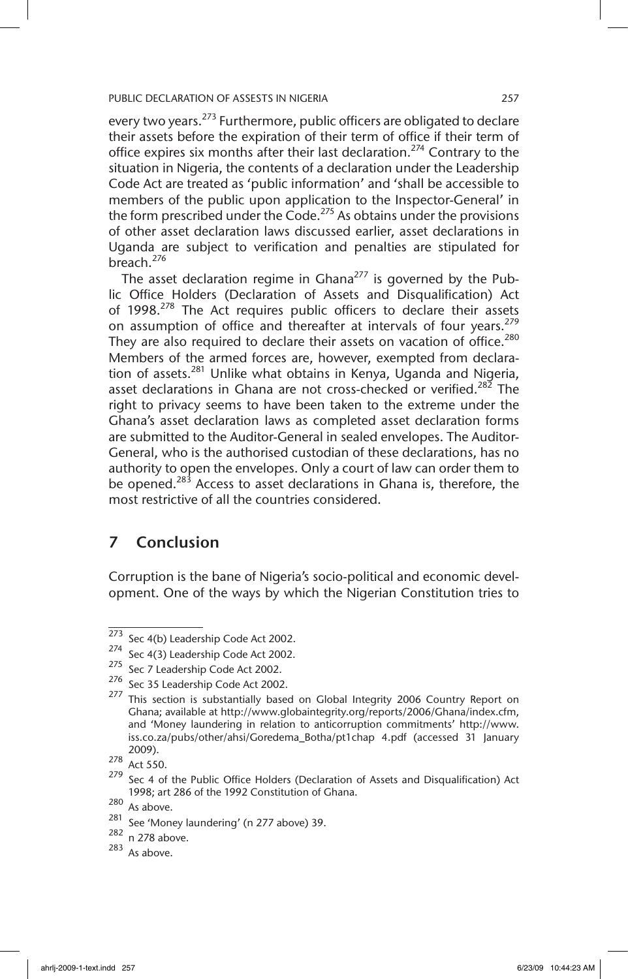every two years.<sup>273</sup> Furthermore, public officers are obligated to declare their assets before the expiration of their term of office if their term of office expires six months after their last declaration.<sup>274</sup> Contrary to the situation in Nigeria, the contents of a declaration under the Leadership Code Act are treated as 'public information' and 'shall be accessible to members of the public upon application to the Inspector-General' in the form prescribed under the Code.<sup>275</sup> As obtains under the provisions of other asset declaration laws discussed earlier, asset declarations in Uganda are subject to verification and penalties are stipulated for breach. $276$ 

The asset declaration regime in Ghana<sup>277</sup> is governed by the Public Office Holders (Declaration of Assets and Disqualification) Act of 1998. $278$  The Act requires public officers to declare their assets on assumption of office and thereafter at intervals of four years.<sup>279</sup> They are also required to declare their assets on vacation of office.<sup>280</sup> Members of the armed forces are, however, exempted from declaration of assets.<sup>281</sup> Unlike what obtains in Kenya, Uganda and Nigeria, asset declarations in Ghana are not cross-checked or verified.<sup>282</sup> The right to privacy seems to have been taken to the extreme under the Ghana's asset declaration laws as completed asset declaration forms are submitted to the Auditor-General in sealed envelopes. The Auditor-General, who is the authorised custodian of these declarations, has no authority to open the envelopes. Only a court of law can order them to be opened.<sup>283</sup> Access to asset declarations in Ghana is, therefore, the most restrictive of all the countries considered.

## 7 Conclusion

Corruption is the bane of Nigeria's socio-political and economic development. One of the ways by which the Nigerian Constitution tries to

 $273$  Sec 4(b) Leadership Code Act 2002.

<sup>274</sup> Sec 4(3) Leadership Code Act 2002.

<sup>&</sup>lt;sup>275</sup> Sec 7 Leadership Code Act 2002.

<sup>276</sup> Sec 35 Leadership Code Act 2002.

<sup>&</sup>lt;sup>277</sup> This section is substantially based on Global Integrity 2006 Country Report on Ghana; available at http://www.globaintegrity.org/reports/2006/Ghana/index.cfm, and 'Money laundering in relation to anticorruption commitments' http://www. iss.co.za/pubs/other/ahsi/Goredema\_Botha/pt1chap 4.pdf (accessed 31 January 2009).

 $\frac{278}{279}$  Act 550.

Sec 4 of the Public Office Holders (Declaration of Assets and Disqualification) Act 1998; art 286 of the 1992 Constitution of Ghana.

 $\frac{280}{281}$  As above.

 $\frac{281}{282}$  See 'Money laundering' (n 277 above) 39.

n 278 above.

<sup>283</sup> As above.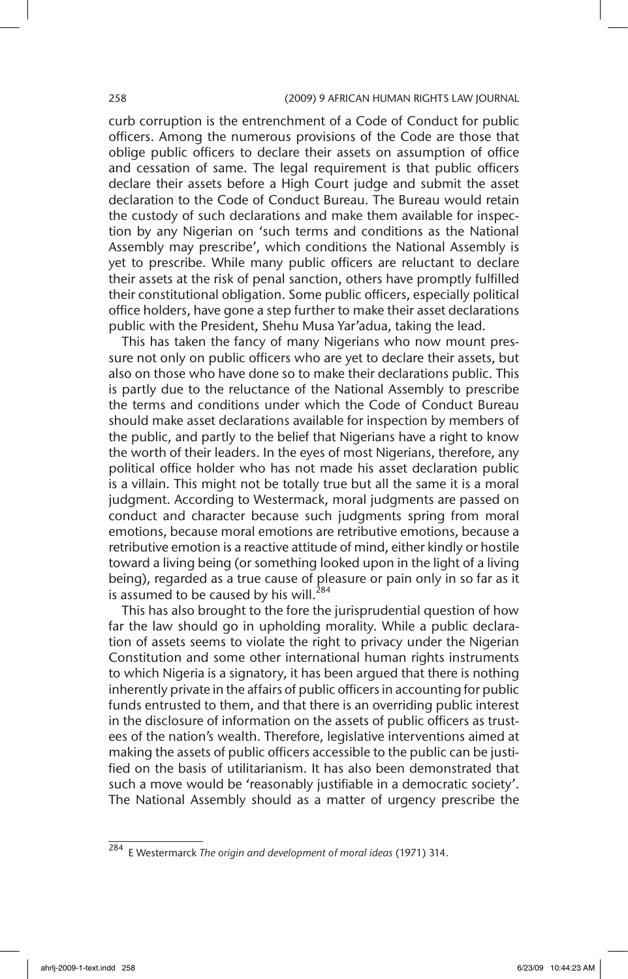### 258 (2009) 9 AFRICAN HUMAN RIGHTS LAW JOURNAL

curb corruption is the entrenchment of a Code of Conduct for public officers. Among the numerous provisions of the Code are those that oblige public officers to declare their assets on assumption of office and cessation of same. The legal requirement is that public officers declare their assets before a High Court judge and submit the asset declaration to the Code of Conduct Bureau. The Bureau would retain the custody of such declarations and make them available for inspection by any Nigerian on 'such terms and conditions as the National Assembly may prescribe', which conditions the National Assembly is yet to prescribe. While many public officers are reluctant to declare their assets at the risk of penal sanction, others have promptly fulfilled their constitutional obligation. Some public officers, especially political office holders, have gone a step further to make their asset declarations public with the President, Shehu Musa Yar'adua, taking the lead.

This has taken the fancy of many Nigerians who now mount pressure not only on public officers who are yet to declare their assets, but also on those who have done so to make their declarations public. This is partly due to the reluctance of the National Assembly to prescribe the terms and conditions under which the Code of Conduct Bureau should make asset declarations available for inspection by members of the public, and partly to the belief that Nigerians have a right to know the worth of their leaders. In the eyes of most Nigerians, therefore, any political office holder who has not made his asset declaration public is a villain. This might not be totally true but all the same it is a moral judgment. According to Westermack, moral judgments are passed on conduct and character because such judgments spring from moral emotions, because moral emotions are retributive emotions, because a retributive emotion is a reactive attitude of mind, either kindly or hostile toward a living being (or something looked upon in the light of a living being), regarded as a true cause of pleasure or pain only in so far as it is assumed to be caused by his will. $284$ 

This has also brought to the fore the jurisprudential question of how far the law should go in upholding morality. While a public declaration of assets seems to violate the right to privacy under the Nigerian Constitution and some other international human rights instruments to which Nigeria is a signatory, it has been argued that there is nothing inherently private in the affairs of public officers in accounting for public funds entrusted to them, and that there is an overriding public interest in the disclosure of information on the assets of public officers as trustees of the nation's wealth. Therefore, legislative interventions aimed at making the assets of public officers accessible to the public can be justified on the basis of utilitarianism. It has also been demonstrated that such a move would be 'reasonably justifiable in a democratic society'. The National Assembly should as a matter of urgency prescribe the

<sup>284</sup> E Westermarck *The origin and development of moral ideas* (1971) 314.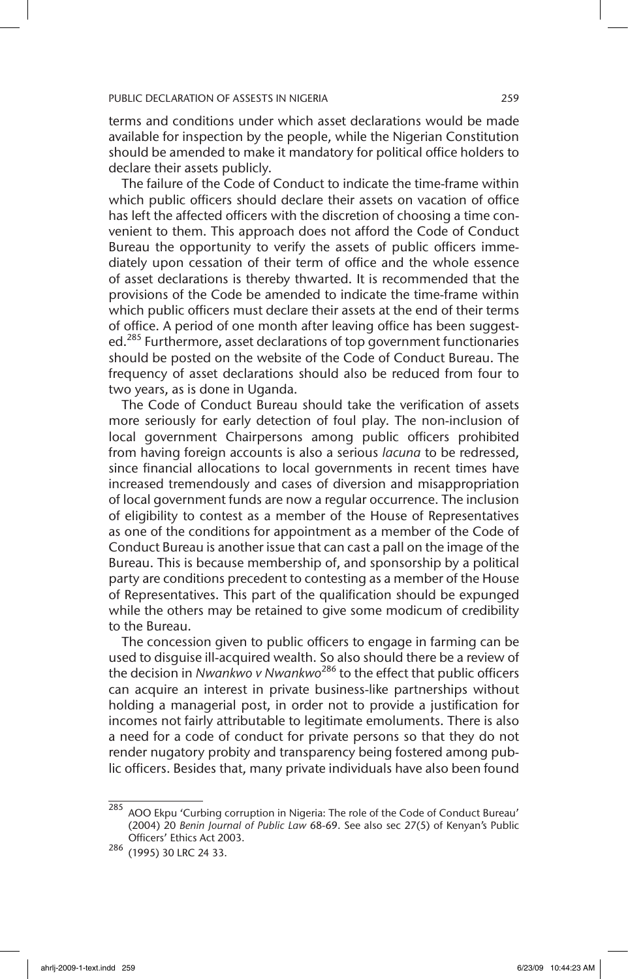terms and conditions under which asset declarations would be made available for inspection by the people, while the Nigerian Constitution should be amended to make it mandatory for political office holders to declare their assets publicly.

The failure of the Code of Conduct to indicate the time-frame within which public officers should declare their assets on vacation of office has left the affected officers with the discretion of choosing a time convenient to them. This approach does not afford the Code of Conduct Bureau the opportunity to verify the assets of public officers immediately upon cessation of their term of office and the whole essence of asset declarations is thereby thwarted. It is recommended that the provisions of the Code be amended to indicate the time-frame within which public officers must declare their assets at the end of their terms of office. A period of one month after leaving office has been suggested.<sup>285</sup> Furthermore, asset declarations of top government functionaries should be posted on the website of the Code of Conduct Bureau. The frequency of asset declarations should also be reduced from four to two years, as is done in Uganda.

The Code of Conduct Bureau should take the verification of assets more seriously for early detection of foul play. The non-inclusion of local government Chairpersons among public officers prohibited from having foreign accounts is also a serious *lacuna* to be redressed, since financial allocations to local governments in recent times have increased tremendously and cases of diversion and misappropriation of local government funds are now a regular occurrence. The inclusion of eligibility to contest as a member of the House of Representatives as one of the conditions for appointment as a member of the Code of Conduct Bureau is another issue that can cast a pall on the image of the Bureau. This is because membership of, and sponsorship by a political party are conditions precedent to contesting as a member of the House of Representatives. This part of the qualification should be expunged while the others may be retained to give some modicum of credibility to the Bureau.

The concession given to public officers to engage in farming can be used to disguise ill-acquired wealth. So also should there be a review of the decision in *Nwankwo v Nwankwo*<sup>286</sup> to the effect that public officers can acquire an interest in private business-like partnerships without holding a managerial post, in order not to provide a justification for incomes not fairly attributable to legitimate emoluments. There is also a need for a code of conduct for private persons so that they do not render nugatory probity and transparency being fostered among public officers. Besides that, many private individuals have also been found

 $285$  AOO Ekpu 'Curbing corruption in Nigeria: The role of the Code of Conduct Bureau' (2004) 20 *Benin Journal of Public Law* 68-69. See also sec 27(5) of Kenyan's Public Officers' Ethics Act 2003.

<sup>286</sup> (1995) 30 LRC 24 33.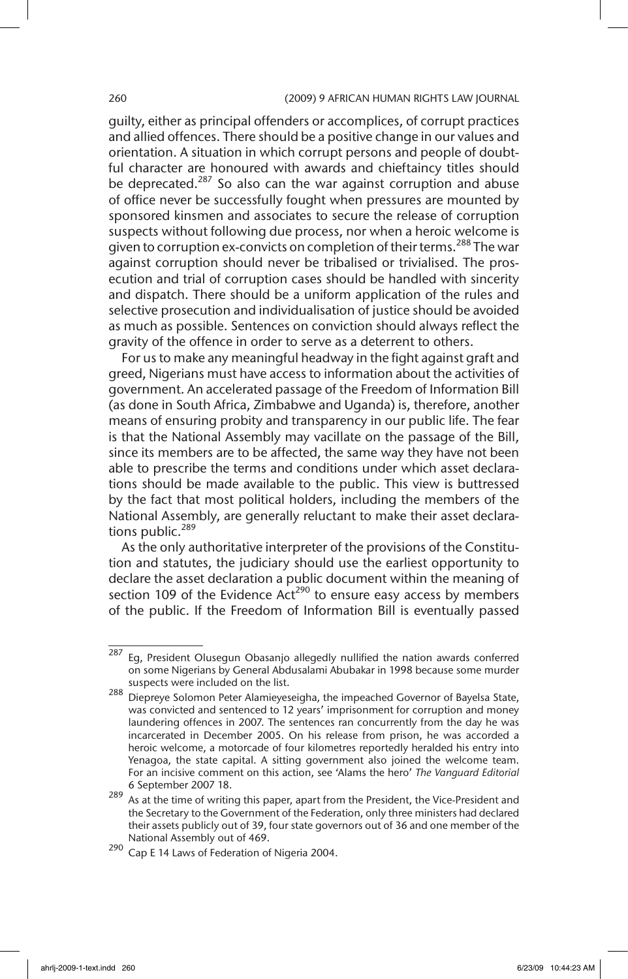### 260 (2009) 9 AFRICAN HUMAN RIGHTS LAW JOURNAL

guilty, either as principal offenders or accomplices, of corrupt practices and allied offences. There should be a positive change in our values and orientation. A situation in which corrupt persons and people of doubtful character are honoured with awards and chieftaincy titles should be deprecated.<sup>287</sup> So also can the war against corruption and abuse of office never be successfully fought when pressures are mounted by sponsored kinsmen and associates to secure the release of corruption suspects without following due process, nor when a heroic welcome is given to corruption ex-convicts on completion of their terms.<sup>288</sup> The war against corruption should never be tribalised or trivialised. The prosecution and trial of corruption cases should be handled with sincerity and dispatch. There should be a uniform application of the rules and selective prosecution and individualisation of justice should be avoided as much as possible. Sentences on conviction should always reflect the gravity of the offence in order to serve as a deterrent to others.

For us to make any meaningful headway in the fight against graft and greed, Nigerians must have access to information about the activities of government. An accelerated passage of the Freedom of Information Bill (as done in South Africa, Zimbabwe and Uganda) is, therefore, another means of ensuring probity and transparency in our public life. The fear is that the National Assembly may vacillate on the passage of the Bill, since its members are to be affected, the same way they have not been able to prescribe the terms and conditions under which asset declarations should be made available to the public. This view is buttressed by the fact that most political holders, including the members of the National Assembly, are generally reluctant to make their asset declarations public. $289$ 

As the only authoritative interpreter of the provisions of the Constitution and statutes, the judiciary should use the earliest opportunity to declare the asset declaration a public document within the meaning of section 109 of the Evidence  $Act^{290}$  to ensure easy access by members of the public. If the Freedom of Information Bill is eventually passed

<sup>&</sup>lt;sup>287</sup> Eg, President Olusegun Obasanjo allegedly nullified the nation awards conferred on some Nigerians by General Abdusalami Abubakar in 1998 because some murder suspects were included on the list.

<sup>288</sup> Diepreye Solomon Peter Alamieyeseigha, the impeached Governor of Bayelsa State, was convicted and sentenced to 12 years' imprisonment for corruption and money laundering offences in 2007. The sentences ran concurrently from the day he was incarcerated in December 2005. On his release from prison, he was accorded a heroic welcome, a motorcade of four kilometres reportedly heralded his entry into Yenagoa, the state capital. A sitting government also joined the welcome team. For an incisive comment on this action, see 'Alams the hero' *The Vanguard Editorial* 6 September 2007 18.

 $289$  As at the time of writing this paper, apart from the President, the Vice-President and the Secretary to the Government of the Federation, only three ministers had declared their assets publicly out of 39, four state governors out of 36 and one member of the National Assembly out of 469.

<sup>290</sup> Cap E 14 Laws of Federation of Nigeria 2004.